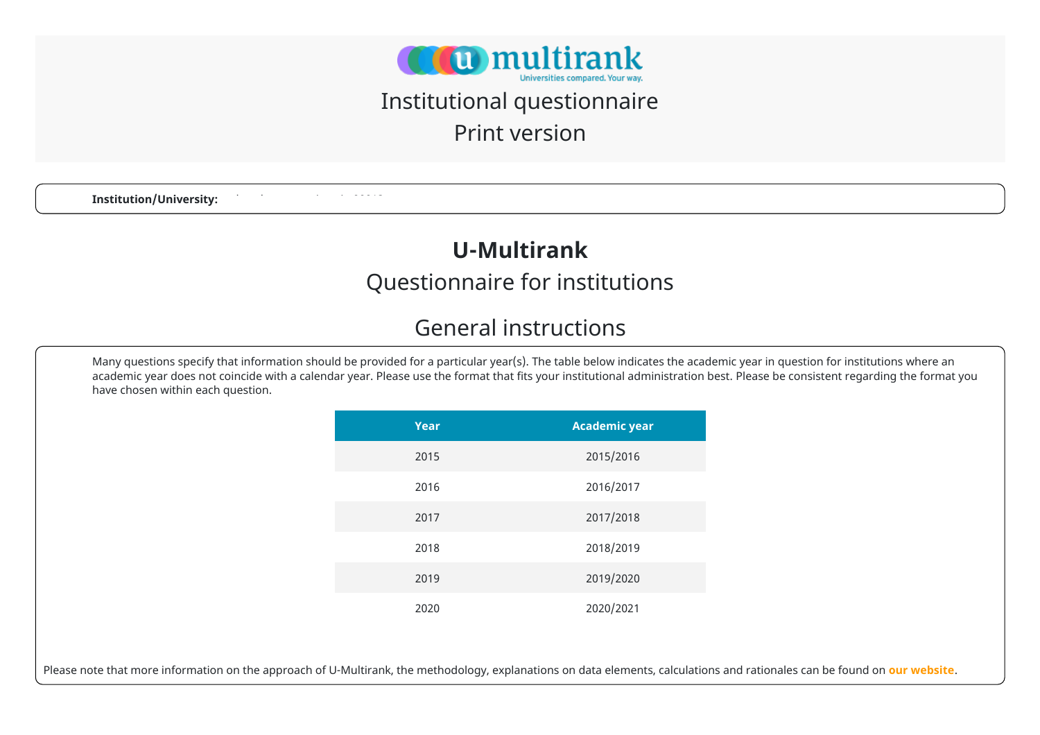

# Institutional questionnaire

Print version

**Institution/University:** 

### **U-Multirank**

#### Questionnaire for institutions

#### General instructions

Many questions specify that information should be provided for a particular year(s). The table below indicates the academic year in question for institutions where an academic year does not coincide with a calendar year. Please use the format that fits your institutional administration best. Please be consistent regarding the format you have chosen within each question.

| Year | <b>Academic year</b> |
|------|----------------------|
| 2015 | 2015/2016            |
| 2016 | 2016/2017            |
| 2017 | 2017/2018            |
| 2018 | 2018/2019            |
| 2019 | 2019/2020            |
| 2020 | 2020/2021            |

Please note that more information on the approach of U-Multirank, the methodology, explanations on data elements, calculations and rationales can be found on **[our website](https://www.umultirank.org/press-media/documents/Indicator-Book-2021.pdf)**.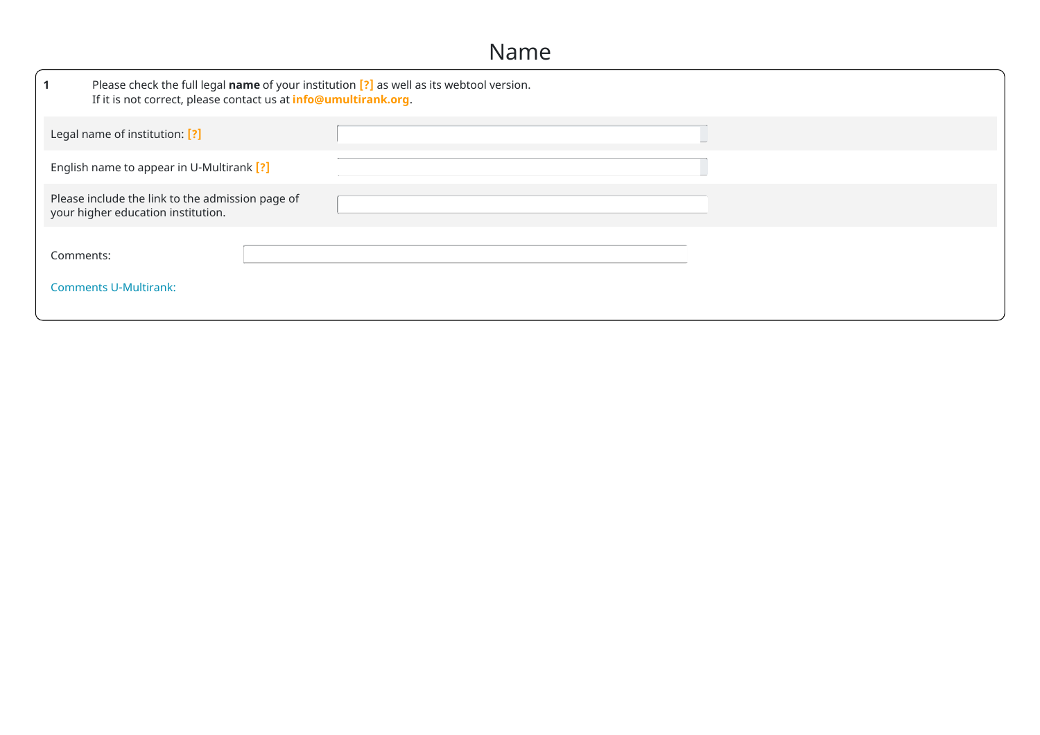#### Name

|                                                                                        | Please check the full legal name of your institution $[?]$ as well as its webtool version.<br>If it is not correct, please contact us at info@umultirank.org. |  |  |  |  |  |  |
|----------------------------------------------------------------------------------------|---------------------------------------------------------------------------------------------------------------------------------------------------------------|--|--|--|--|--|--|
| Legal name of institution: [?]                                                         |                                                                                                                                                               |  |  |  |  |  |  |
| English name to appear in U-Multirank [?]                                              |                                                                                                                                                               |  |  |  |  |  |  |
| Please include the link to the admission page of<br>your higher education institution. |                                                                                                                                                               |  |  |  |  |  |  |
| Comments:<br><b>Comments U-Multirank:</b>                                              |                                                                                                                                                               |  |  |  |  |  |  |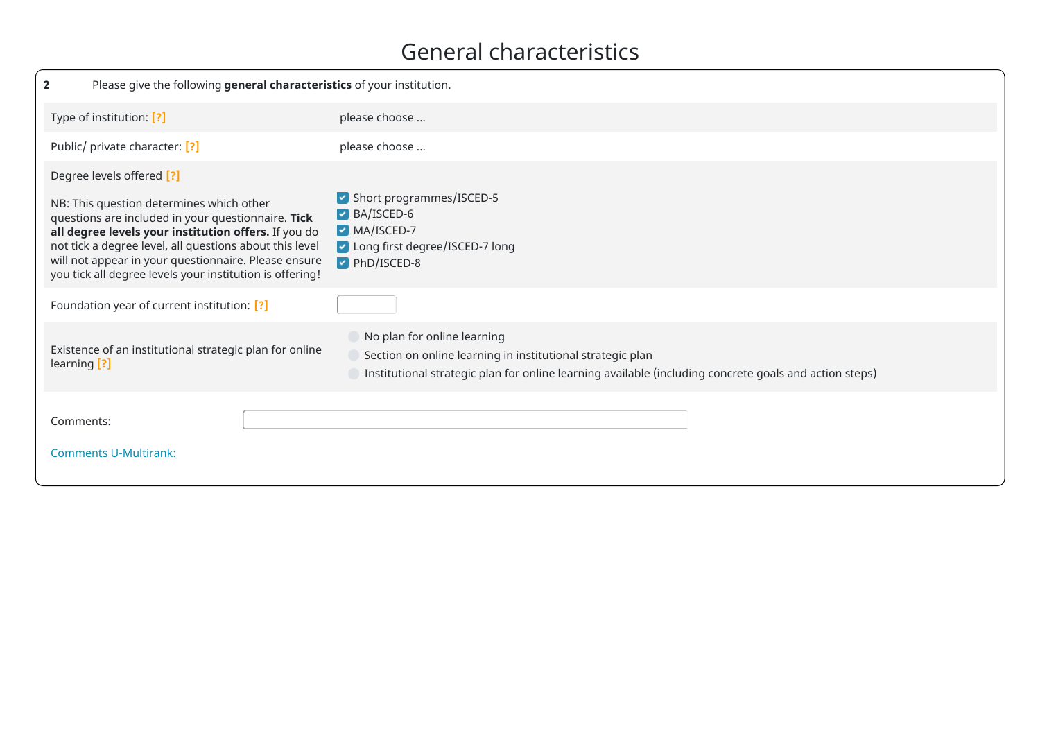#### General characteristics

| $\mathbf{2}$                                                                                                                                                                                                                                                                                                                                                       | Please give the following general characteristics of your institution.                                                                                                                              |  |  |  |  |  |
|--------------------------------------------------------------------------------------------------------------------------------------------------------------------------------------------------------------------------------------------------------------------------------------------------------------------------------------------------------------------|-----------------------------------------------------------------------------------------------------------------------------------------------------------------------------------------------------|--|--|--|--|--|
| Type of institution: [?]                                                                                                                                                                                                                                                                                                                                           | please choose                                                                                                                                                                                       |  |  |  |  |  |
| Public/ private character: [?]                                                                                                                                                                                                                                                                                                                                     | please choose                                                                                                                                                                                       |  |  |  |  |  |
| Degree levels offered [?]<br>NB: This question determines which other<br>questions are included in your questionnaire. Tick<br>all degree levels your institution offers. If you do<br>not tick a degree level, all questions about this level<br>will not appear in your questionnaire. Please ensure<br>you tick all degree levels your institution is offering! | Short programmes/ISCED-5<br>BA/ISCED-6<br>MA/ISCED-7<br>Long first degree/ISCED-7 long<br>PhD/ISCED-8                                                                                               |  |  |  |  |  |
| Foundation year of current institution: [?]                                                                                                                                                                                                                                                                                                                        |                                                                                                                                                                                                     |  |  |  |  |  |
| Existence of an institutional strategic plan for online<br>learning [?]                                                                                                                                                                                                                                                                                            | No plan for online learning<br>Section on online learning in institutional strategic plan<br>Institutional strategic plan for online learning available (including concrete goals and action steps) |  |  |  |  |  |
| Comments:<br><b>Comments U-Multirank:</b>                                                                                                                                                                                                                                                                                                                          |                                                                                                                                                                                                     |  |  |  |  |  |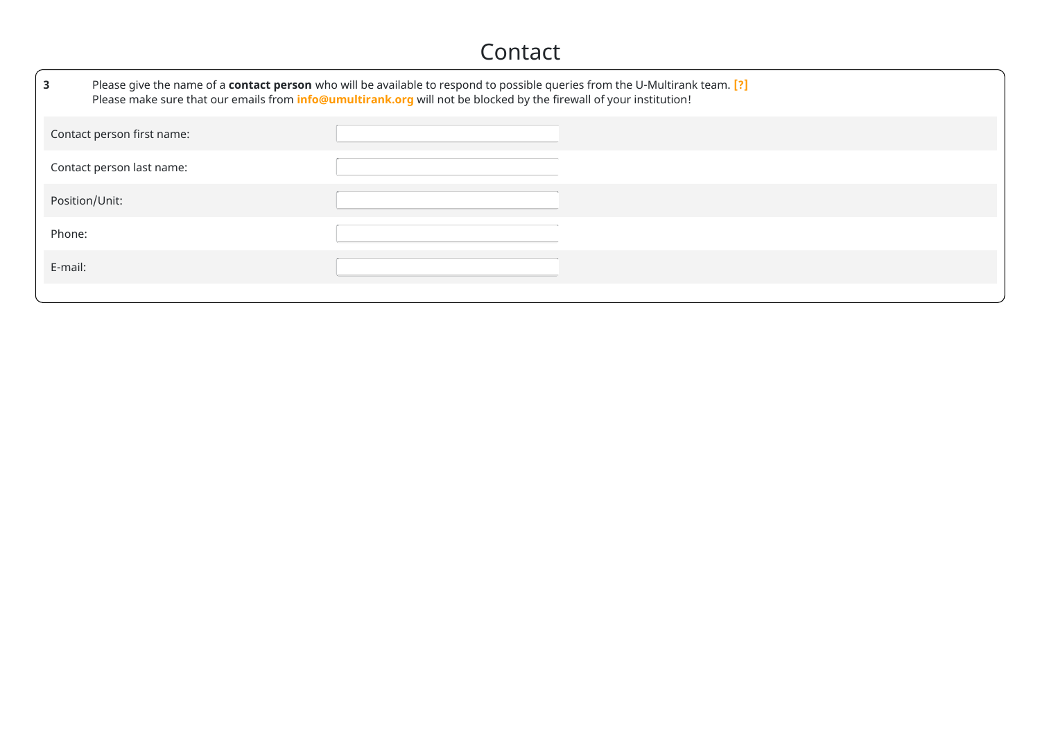#### Contact

| $\mathbf{3}$ | Please give the name of a contact person who will be available to respond to possible queries from the U-Multirank team. [?]<br>Please make sure that our emails from info@umultirank.org will not be blocked by the firewall of your institution! |  |  |  |  |  |  |
|--------------|----------------------------------------------------------------------------------------------------------------------------------------------------------------------------------------------------------------------------------------------------|--|--|--|--|--|--|
|              | Contact person first name:                                                                                                                                                                                                                         |  |  |  |  |  |  |
|              | Contact person last name:                                                                                                                                                                                                                          |  |  |  |  |  |  |
|              | Position/Unit:                                                                                                                                                                                                                                     |  |  |  |  |  |  |
| Phone:       |                                                                                                                                                                                                                                                    |  |  |  |  |  |  |
| E-mail:      |                                                                                                                                                                                                                                                    |  |  |  |  |  |  |
|              |                                                                                                                                                                                                                                                    |  |  |  |  |  |  |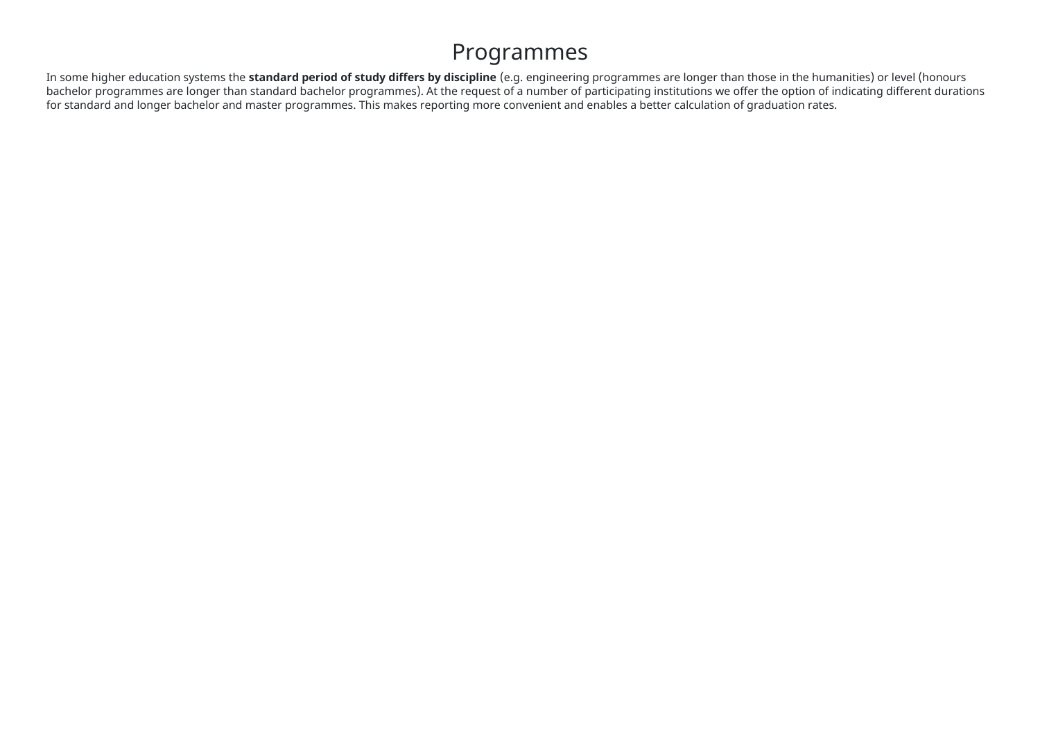#### Programmes

In some higher education systems the **standard period of study differs by discipline** (e.g. engineering programmes are longer than those in the humanities) or level (honours bachelor programmes are longer than standard bachelor programmes). At the request of a number of participating institutions we offer the option of indicating different durations for standard and longer bachelor and master programmes. This makes reporting more convenient and enables a better calculation of graduation rates.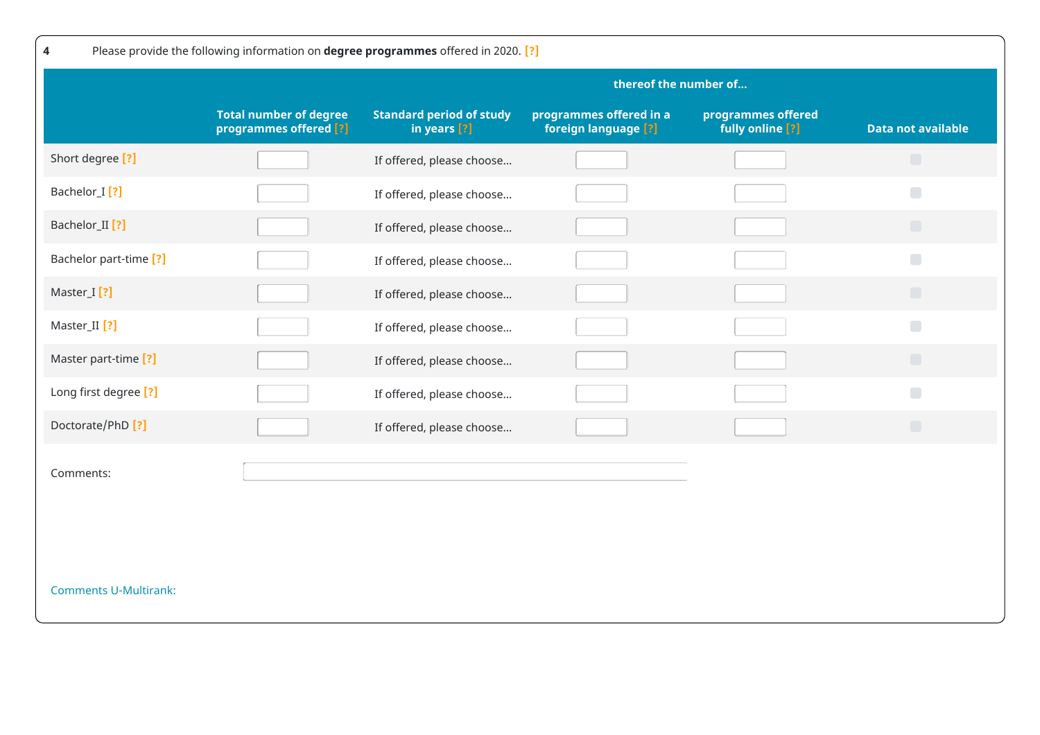| Please provide the following information on degree programmes offered in 2020. [?]<br>4 |                                                         |                                                 |                                                 |                                        |                           |  |  |
|-----------------------------------------------------------------------------------------|---------------------------------------------------------|-------------------------------------------------|-------------------------------------------------|----------------------------------------|---------------------------|--|--|
|                                                                                         |                                                         | thereof the number of                           |                                                 |                                        |                           |  |  |
|                                                                                         | <b>Total number of degree</b><br>programmes offered [?] | <b>Standard period of study</b><br>in years [?] | programmes offered in a<br>foreign language [?] | programmes offered<br>fully online [?] | <b>Data not available</b> |  |  |
| Short degree [?]                                                                        |                                                         | If offered, please choose                       |                                                 |                                        | $\Box$                    |  |  |
| Bachelor_I <sup>[?]</sup>                                                               |                                                         | If offered, please choose                       |                                                 |                                        | $\Box$                    |  |  |
| Bachelor_II <sup>[?]</sup>                                                              |                                                         | If offered, please choose                       |                                                 |                                        | $\Box$                    |  |  |
| Bachelor part-time [?]                                                                  |                                                         | If offered, please choose                       |                                                 |                                        | $\Box$                    |  |  |
| Master_I [?]                                                                            |                                                         | If offered, please choose                       |                                                 |                                        | $\Box$                    |  |  |
| Master_II [?]                                                                           |                                                         | If offered, please choose                       |                                                 |                                        | $\Box$                    |  |  |
| Master part-time [?]                                                                    |                                                         | If offered, please choose                       |                                                 |                                        | $\Box$                    |  |  |
| Long first degree [?]                                                                   |                                                         | If offered, please choose                       |                                                 |                                        | $\Box$                    |  |  |
| Doctorate/PhD <sup>[?]</sup>                                                            |                                                         | If offered, please choose                       |                                                 |                                        | $\Box$                    |  |  |
| Comments:                                                                               |                                                         |                                                 |                                                 |                                        |                           |  |  |
| <b>Comments U-Multirank:</b>                                                            |                                                         |                                                 |                                                 |                                        |                           |  |  |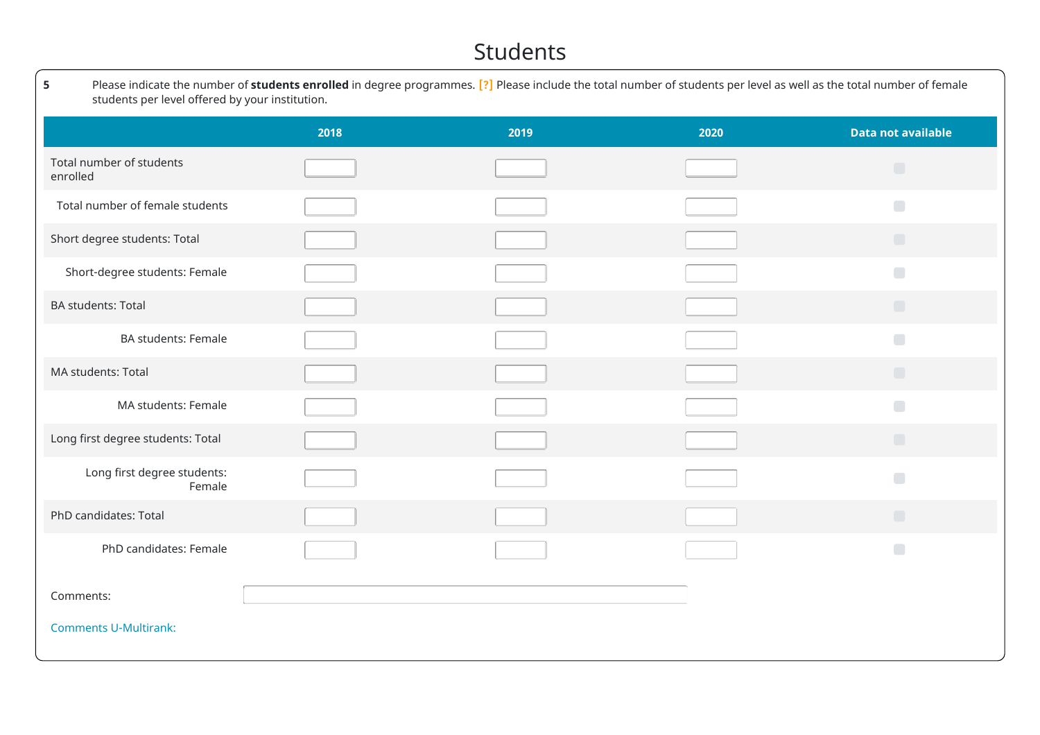#### Students

| 5<br>Please indicate the number of students enrolled in degree programmes. [?] Please include the total number of students per level as well as the total number of female<br>students per level offered by your institution. |      |      |      |                           |  |  |  |
|-------------------------------------------------------------------------------------------------------------------------------------------------------------------------------------------------------------------------------|------|------|------|---------------------------|--|--|--|
|                                                                                                                                                                                                                               | 2018 | 2019 | 2020 | <b>Data not available</b> |  |  |  |
| Total number of students<br>enrolled                                                                                                                                                                                          |      |      |      | $\Box$                    |  |  |  |
| Total number of female students                                                                                                                                                                                               |      |      |      | $\Box$                    |  |  |  |
| Short degree students: Total                                                                                                                                                                                                  |      |      |      | $\Box$                    |  |  |  |
| Short-degree students: Female                                                                                                                                                                                                 |      |      |      | $\Box$                    |  |  |  |
| <b>BA students: Total</b>                                                                                                                                                                                                     |      |      |      | $\Box$                    |  |  |  |
| <b>BA students: Female</b>                                                                                                                                                                                                    |      |      |      | $\Box$                    |  |  |  |
| MA students: Total                                                                                                                                                                                                            |      |      |      | $\Box$                    |  |  |  |
| MA students: Female                                                                                                                                                                                                           |      |      |      | $\Box$                    |  |  |  |
| Long first degree students: Total                                                                                                                                                                                             |      |      |      | $\Box$                    |  |  |  |
| Long first degree students:<br>Female                                                                                                                                                                                         |      |      |      | $\Box$                    |  |  |  |
| PhD candidates: Total                                                                                                                                                                                                         |      |      |      | $\Box$                    |  |  |  |
| PhD candidates: Female                                                                                                                                                                                                        |      |      |      | $\blacksquare$            |  |  |  |
| Comments:                                                                                                                                                                                                                     |      |      |      |                           |  |  |  |
| <b>Comments U-Multirank:</b>                                                                                                                                                                                                  |      |      |      |                           |  |  |  |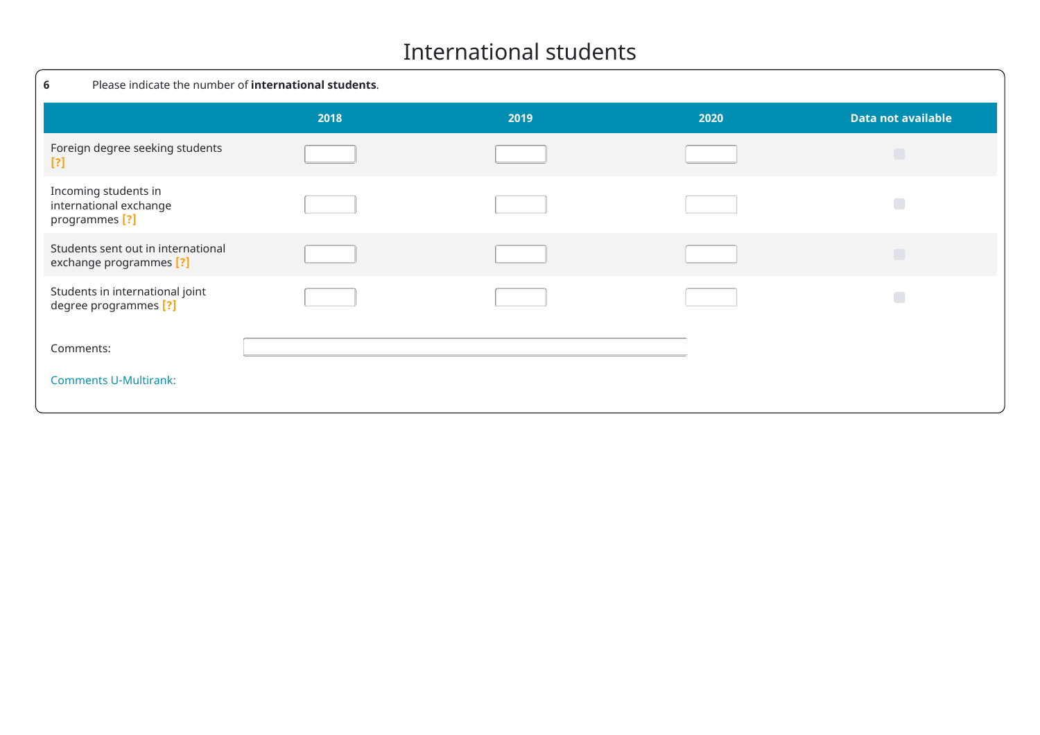#### International students

| Please indicate the number of international students.<br>6                  |      |      |      |                           |
|-----------------------------------------------------------------------------|------|------|------|---------------------------|
|                                                                             | 2018 | 2019 | 2020 | <b>Data not available</b> |
| Foreign degree seeking students<br>$[?]$                                    |      |      |      | Г                         |
| Incoming students in<br>international exchange<br>programmes <sup>[?]</sup> |      |      |      |                           |
| Students sent out in international<br>exchange programmes [?]               |      |      |      | $\Box$                    |
| Students in international joint<br>degree programmes [?]                    |      |      |      |                           |
| Comments:                                                                   |      |      |      |                           |
| <b>Comments U-Multirank:</b>                                                |      |      |      |                           |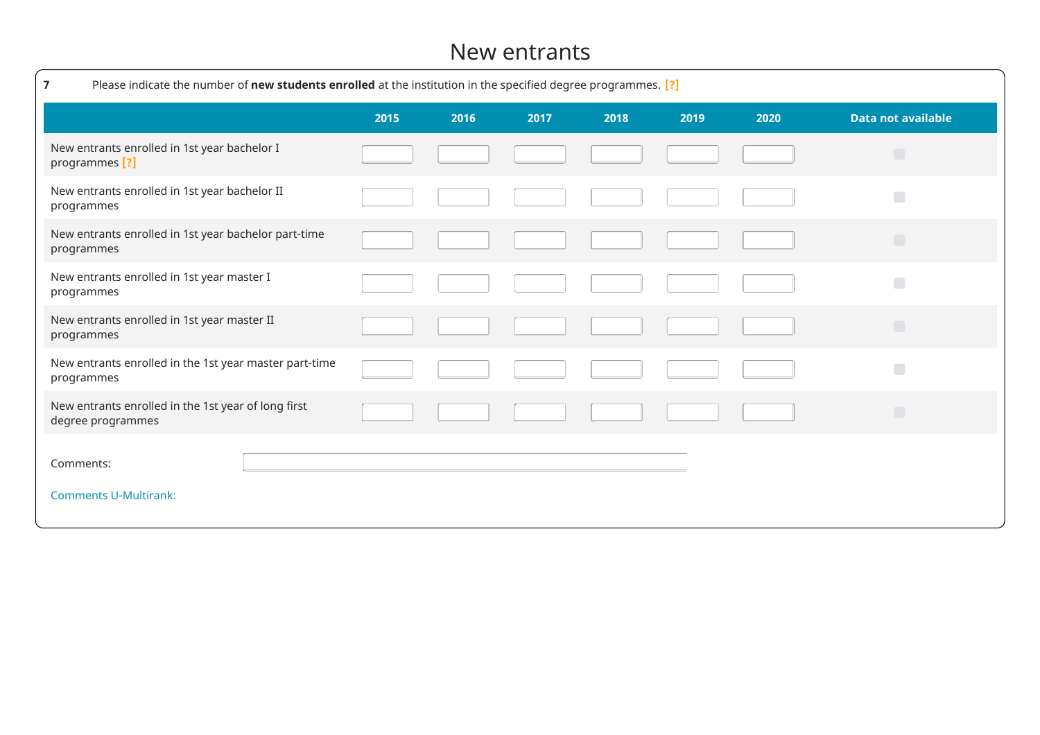#### New entrants

| Please indicate the number of new students enrolled at the institution in the specified degree programmes. [?]<br>7 |      |      |      |      |      |      |                           |
|---------------------------------------------------------------------------------------------------------------------|------|------|------|------|------|------|---------------------------|
|                                                                                                                     | 2015 | 2016 | 2017 | 2018 | 2019 | 2020 | <b>Data not available</b> |
| New entrants enrolled in 1st year bachelor I<br>programmes [?]                                                      |      |      |      |      |      |      | $\Box$                    |
| New entrants enrolled in 1st year bachelor II<br>programmes                                                         |      |      |      |      |      |      | Г                         |
| New entrants enrolled in 1st year bachelor part-time<br>programmes                                                  |      |      |      |      |      |      | $\Box$                    |
| New entrants enrolled in 1st year master I<br>programmes                                                            |      |      |      |      |      |      | П                         |
| New entrants enrolled in 1st year master II<br>programmes                                                           |      |      |      |      |      |      | $\Box$                    |
| New entrants enrolled in the 1st year master part-time<br>programmes                                                |      |      |      |      |      |      | $\blacksquare$            |
| New entrants enrolled in the 1st year of long first<br>degree programmes                                            |      |      |      |      |      |      | $\Box$                    |
| Comments:<br><b>Comments U-Multirank:</b>                                                                           |      |      |      |      |      |      |                           |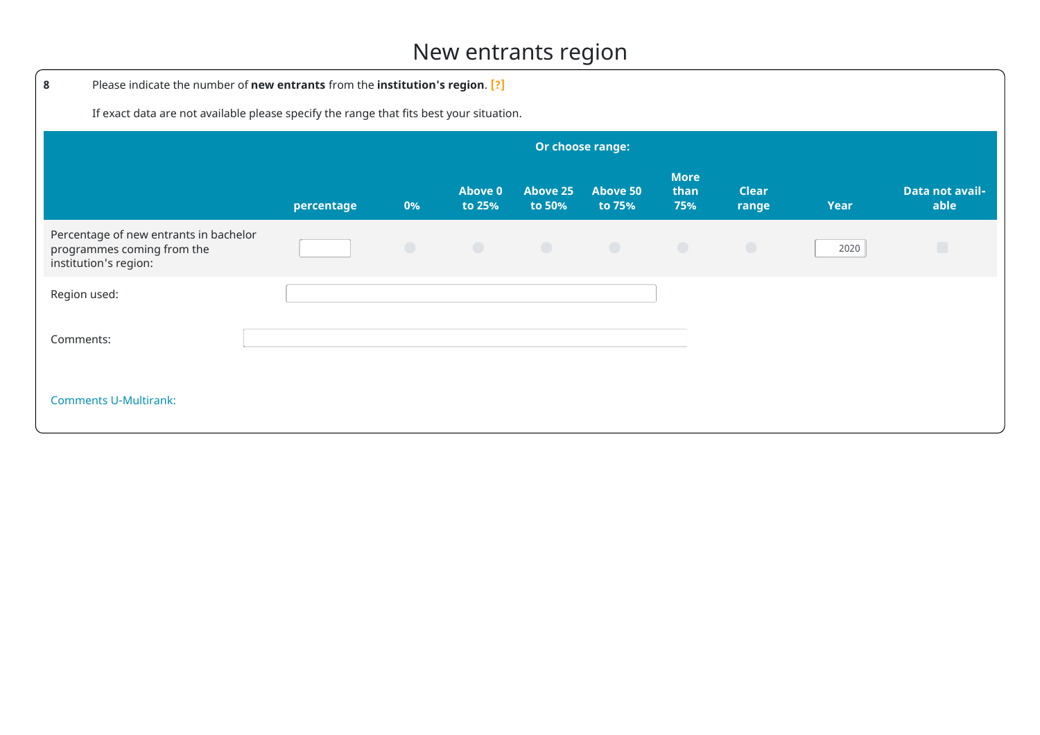### New entrants region

| 8                                                                                             | Please indicate the number of new entrants from the institution's region. [?]           |            |                   |                                        |                           |                            |                       |             |                                |
|-----------------------------------------------------------------------------------------------|-----------------------------------------------------------------------------------------|------------|-------------------|----------------------------------------|---------------------------|----------------------------|-----------------------|-------------|--------------------------------|
|                                                                                               | If exact data are not available please specify the range that fits best your situation. |            |                   |                                        |                           |                            |                       |             |                                |
|                                                                                               |                                                                                         |            |                   |                                        | Or choose range:          |                            |                       |             |                                |
|                                                                                               | percentage                                                                              | 0%         | Above 0<br>to 25% | Above 25<br>to 50%                     | <b>Above 50</b><br>to 75% | <b>More</b><br>than<br>75% | <b>Clear</b><br>range | <b>Year</b> | <b>Data not avail-</b><br>able |
| Percentage of new entrants in bachelor<br>programmes coming from the<br>institution's region: |                                                                                         | $\bigcirc$ | $\bigcirc$        | $\bigcirc$<br><b>Contract Contract</b> | $\bigcirc$                | $\bigcirc$                 | $\bigcirc$            | 2020        | $\Box$                         |
| Region used:                                                                                  |                                                                                         |            |                   |                                        |                           |                            |                       |             |                                |
| Comments:                                                                                     |                                                                                         |            |                   |                                        |                           |                            |                       |             |                                |
| <b>Comments U-Multirank:</b>                                                                  |                                                                                         |            |                   |                                        |                           |                            |                       |             |                                |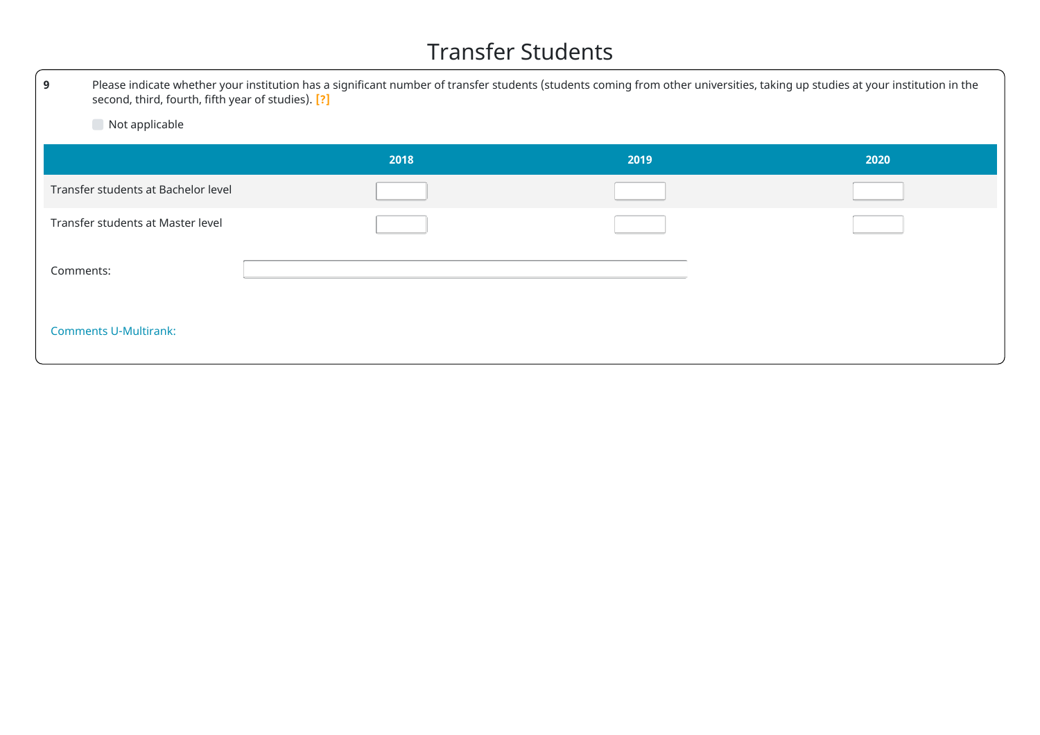### Transfer Students

| 9         | Please indicate whether your institution has a significant number of transfer students (students coming from other universities, taking up studies at your institution in the<br>second, third, fourth, fifth year of studies). [?] |      |      |      |  |  |  |
|-----------|-------------------------------------------------------------------------------------------------------------------------------------------------------------------------------------------------------------------------------------|------|------|------|--|--|--|
|           | Not applicable                                                                                                                                                                                                                      |      |      |      |  |  |  |
|           |                                                                                                                                                                                                                                     | 2018 | 2019 | 2020 |  |  |  |
|           | Transfer students at Bachelor level                                                                                                                                                                                                 |      |      |      |  |  |  |
|           | Transfer students at Master level                                                                                                                                                                                                   |      |      |      |  |  |  |
| Comments: |                                                                                                                                                                                                                                     |      |      |      |  |  |  |
|           | <b>Comments U-Multirank:</b>                                                                                                                                                                                                        |      |      |      |  |  |  |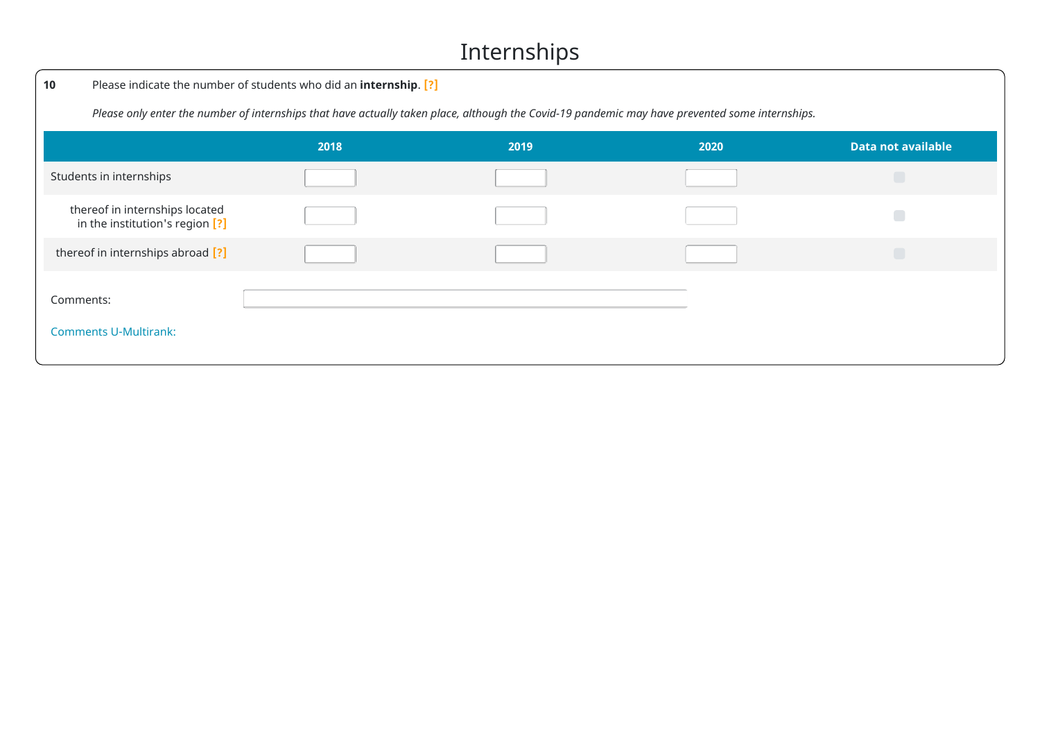### Internships

| 10                                                                | Please indicate the number of students who did an internship. [?]                                                                               |      |      |                           |  |  |  |  |  |  |
|-------------------------------------------------------------------|-------------------------------------------------------------------------------------------------------------------------------------------------|------|------|---------------------------|--|--|--|--|--|--|
|                                                                   | Please only enter the number of internships that have actually taken place, although the Covid-19 pandemic may have prevented some internships. |      |      |                           |  |  |  |  |  |  |
|                                                                   | 2018                                                                                                                                            | 2019 | 2020 | <b>Data not available</b> |  |  |  |  |  |  |
| Students in internships                                           |                                                                                                                                                 |      |      |                           |  |  |  |  |  |  |
| thereof in internships located<br>in the institution's region [?] |                                                                                                                                                 |      |      |                           |  |  |  |  |  |  |
| thereof in internships abroad [?]                                 |                                                                                                                                                 |      |      |                           |  |  |  |  |  |  |
| Comments:                                                         |                                                                                                                                                 |      |      |                           |  |  |  |  |  |  |
| <b>Comments U-Multirank:</b>                                      |                                                                                                                                                 |      |      |                           |  |  |  |  |  |  |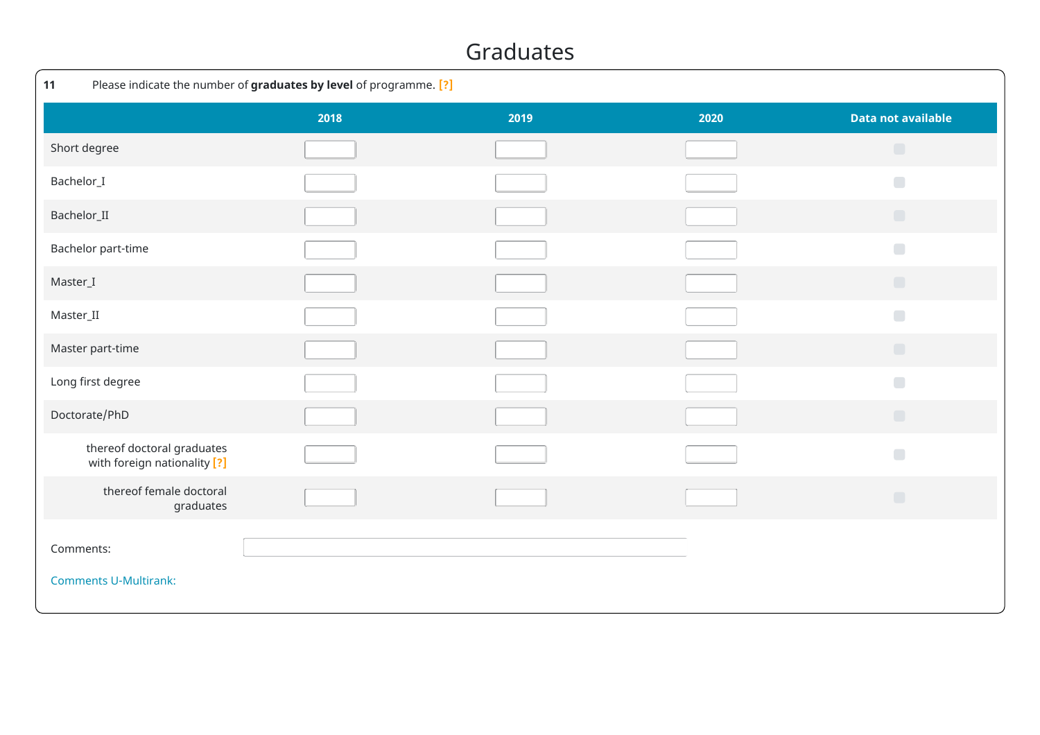#### Graduates

| Please indicate the number of graduates by level of programme. [?]<br>11 |      |      |      |                                         |  |  |  |  |
|--------------------------------------------------------------------------|------|------|------|-----------------------------------------|--|--|--|--|
|                                                                          | 2018 | 2019 | 2020 | <b>Data not available</b>               |  |  |  |  |
| Short degree                                                             |      |      |      | $\Box$                                  |  |  |  |  |
| Bachelor_I                                                               |      |      |      | $\begin{array}{ccc} \hline \end{array}$ |  |  |  |  |
| Bachelor_II                                                              |      |      |      | $\Box$                                  |  |  |  |  |
| Bachelor part-time                                                       |      |      |      | $\Box$                                  |  |  |  |  |
| Master_I                                                                 |      |      |      | $\Box$                                  |  |  |  |  |
| Master_II                                                                |      |      |      | $\Box$                                  |  |  |  |  |
| Master part-time                                                         |      |      |      | $\Box$                                  |  |  |  |  |
| Long first degree                                                        |      |      |      | $\Box$                                  |  |  |  |  |
| Doctorate/PhD                                                            |      |      |      | $\Box$                                  |  |  |  |  |
| thereof doctoral graduates<br>with foreign nationality [?]               |      |      |      | $\Box$                                  |  |  |  |  |
| thereof female doctoral<br>graduates                                     |      |      |      | $\Box$                                  |  |  |  |  |
| Comments:<br><b>Comments U-Multirank:</b>                                |      |      |      |                                         |  |  |  |  |
|                                                                          |      |      |      |                                         |  |  |  |  |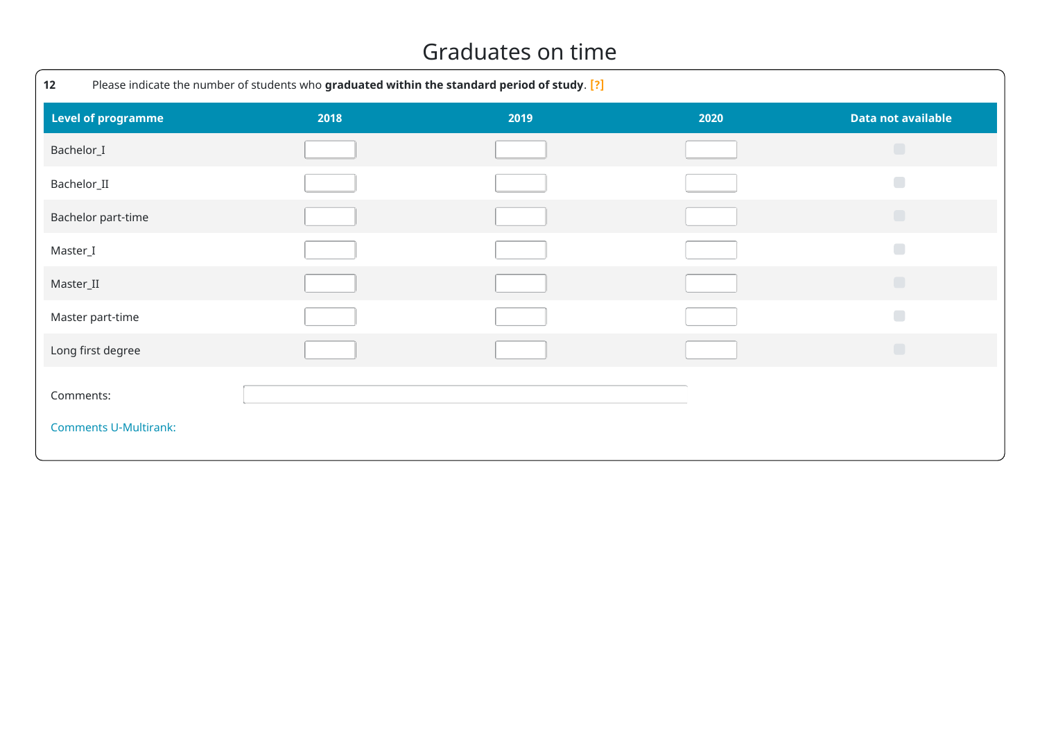#### Graduates on time

| Please indicate the number of students who graduated within the standard period of study. [?]<br>12 |      |      |      |                           |  |  |  |  |
|-----------------------------------------------------------------------------------------------------|------|------|------|---------------------------|--|--|--|--|
| <b>Level of programme</b>                                                                           | 2018 | 2019 | 2020 | <b>Data not available</b> |  |  |  |  |
| Bachelor_I                                                                                          |      |      |      | $\Box$                    |  |  |  |  |
| Bachelor_II                                                                                         |      |      |      | $\Box$                    |  |  |  |  |
| Bachelor part-time                                                                                  |      |      |      | $\Box$                    |  |  |  |  |
| Master_I                                                                                            |      |      |      | $\Box$                    |  |  |  |  |
| Master_II                                                                                           |      |      |      | $\Box$                    |  |  |  |  |
| Master part-time                                                                                    |      |      |      | $\Box$                    |  |  |  |  |
| Long first degree                                                                                   |      |      |      | $\Box$                    |  |  |  |  |
| Comments:                                                                                           |      |      |      |                           |  |  |  |  |
| <b>Comments U-Multirank:</b>                                                                        |      |      |      |                           |  |  |  |  |
|                                                                                                     |      |      |      |                           |  |  |  |  |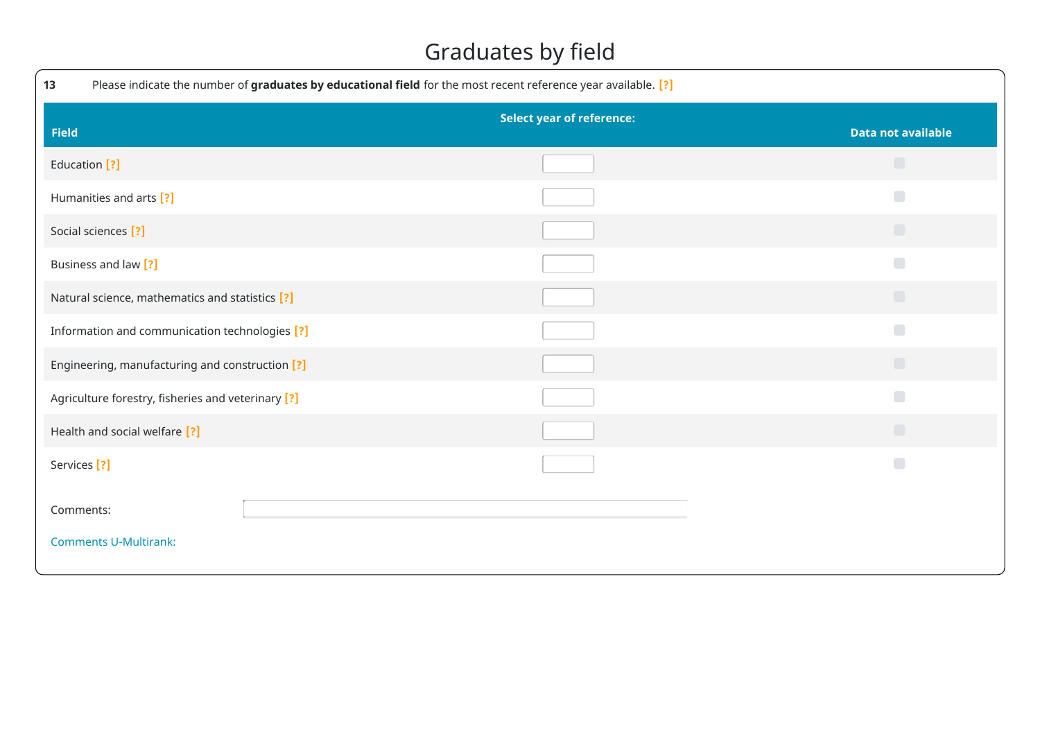### Graduates by field

| 13<br>Please indicate the number of graduates by educational field for the most recent reference year available. [?] |                                  |                           |
|----------------------------------------------------------------------------------------------------------------------|----------------------------------|---------------------------|
| <b>Field</b>                                                                                                         | <b>Select year of reference:</b> | <b>Data not available</b> |
| Education [?]                                                                                                        |                                  | $\Box$                    |
| Humanities and arts [?]                                                                                              |                                  | $\Box$                    |
| Social sciences [?]                                                                                                  |                                  | $\Box$                    |
| Business and law [?]                                                                                                 |                                  | $\Box$                    |
| Natural science, mathematics and statistics [?]                                                                      |                                  | $\Box$                    |
| Information and communication technologies [?]                                                                       |                                  | $\Box$                    |
| Engineering, manufacturing and construction [?]                                                                      |                                  | $\Box$                    |
| Agriculture forestry, fisheries and veterinary [?]                                                                   |                                  | $\Box$                    |
| Health and social welfare [?]                                                                                        |                                  | $\Box$                    |
| Services <sup>[?]</sup>                                                                                              |                                  | $\Box$                    |
| Comments:<br><b>Comments U-Multirank:</b>                                                                            |                                  |                           |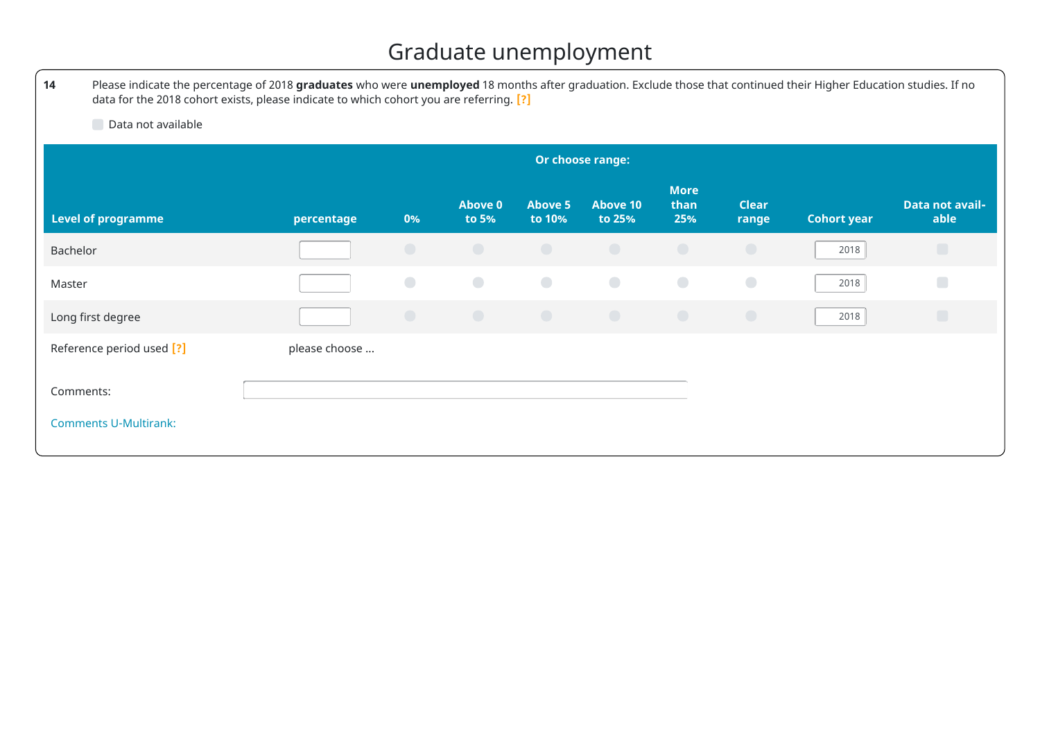# Graduate unemployment

| 14                           | Please indicate the percentage of 2018 graduates who were unemployed 18 months after graduation. Exclude those that continued their Higher Education studies. If no<br>data for the 2018 cohort exists, please indicate to which cohort you are referring. [?] |            |                         |                          |                           |                            |                       |                    |                         |
|------------------------------|----------------------------------------------------------------------------------------------------------------------------------------------------------------------------------------------------------------------------------------------------------------|------------|-------------------------|--------------------------|---------------------------|----------------------------|-----------------------|--------------------|-------------------------|
| Data not available           |                                                                                                                                                                                                                                                                |            |                         |                          |                           |                            |                       |                    |                         |
|                              | Or choose range:                                                                                                                                                                                                                                               |            |                         |                          |                           |                            |                       |                    |                         |
| <b>Level of programme</b>    | percentage                                                                                                                                                                                                                                                     | 0%         | <b>Above 0</b><br>to 5% | <b>Above 5</b><br>to 10% | <b>Above 10</b><br>to 25% | <b>More</b><br>than<br>25% | <b>Clear</b><br>range | <b>Cohort year</b> | Data not avail-<br>able |
| Bachelor                     |                                                                                                                                                                                                                                                                | $\bigcirc$ | $\bigcirc$              | $\bigcirc$               | $\bigcirc$                | $\bigcirc$                 | $\bigcirc$            | 2018               | $\Box$                  |
| Master                       |                                                                                                                                                                                                                                                                | $\bigcirc$ | $\bigcirc$              | $\bigcirc$               | $\bigcirc$                | $\bigcirc$                 | $\bigodot$            | 2018               | $\Box$                  |
| Long first degree            |                                                                                                                                                                                                                                                                | $\bigcirc$ | $\bigcirc$              | $\bigcirc$               | $\bigcirc$                | $\bigcirc$                 | $\bigcirc$            | 2018               | $\Box$                  |
| Reference period used [?]    | please choose                                                                                                                                                                                                                                                  |            |                         |                          |                           |                            |                       |                    |                         |
| Comments:                    |                                                                                                                                                                                                                                                                |            |                         |                          |                           |                            |                       |                    |                         |
| <b>Comments U-Multirank:</b> |                                                                                                                                                                                                                                                                |            |                         |                          |                           |                            |                       |                    |                         |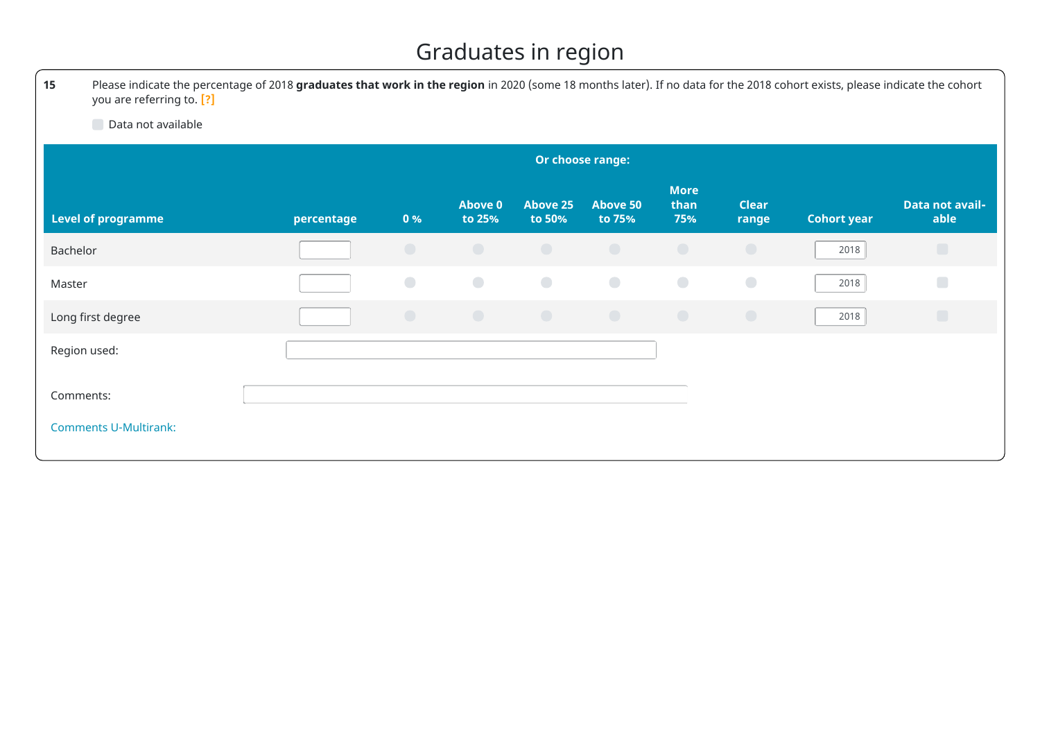### Graduates in region

**15** Please indicate the percentage of 2018 **graduates that work in the region** in 2020 (some 18 months later). If no data for the 2018 cohort exists, please indicate the cohort you are referring to. **[?]**

Data not available

|                                           | Or choose range: |            |                          |                           |                           |                            |                       |                    |                         |
|-------------------------------------------|------------------|------------|--------------------------|---------------------------|---------------------------|----------------------------|-----------------------|--------------------|-------------------------|
| <b>Level of programme</b>                 | percentage       | 0%         | <b>Above 0</b><br>to 25% | <b>Above 25</b><br>to 50% | <b>Above 50</b><br>to 75% | <b>More</b><br>than<br>75% | <b>Clear</b><br>range | <b>Cohort year</b> | Data not avail-<br>able |
| Bachelor                                  |                  | $\bigcirc$ | $\bigcirc$               | $\bigcirc$                | $\bigcirc$                | $\bigcirc$                 | $\bigcirc$            | 2018               | $\Box$                  |
| Master                                    |                  | $\bigcirc$ | $\bigcirc$               | $\bullet$                 | $\bullet$                 | $\bigcirc$                 | $\bigcirc$            | 2018               | $\Box$                  |
| Long first degree                         |                  | $\bigcirc$ | $\bigcirc$               | $\bigcirc$                | $\bigcirc$                | $\bigcirc$                 | $\bigcirc$            | 2018               | $\Box$                  |
| Region used:                              |                  |            |                          |                           |                           |                            |                       |                    |                         |
| Comments:<br><b>Comments U-Multirank:</b> |                  |            |                          |                           |                           |                            |                       |                    |                         |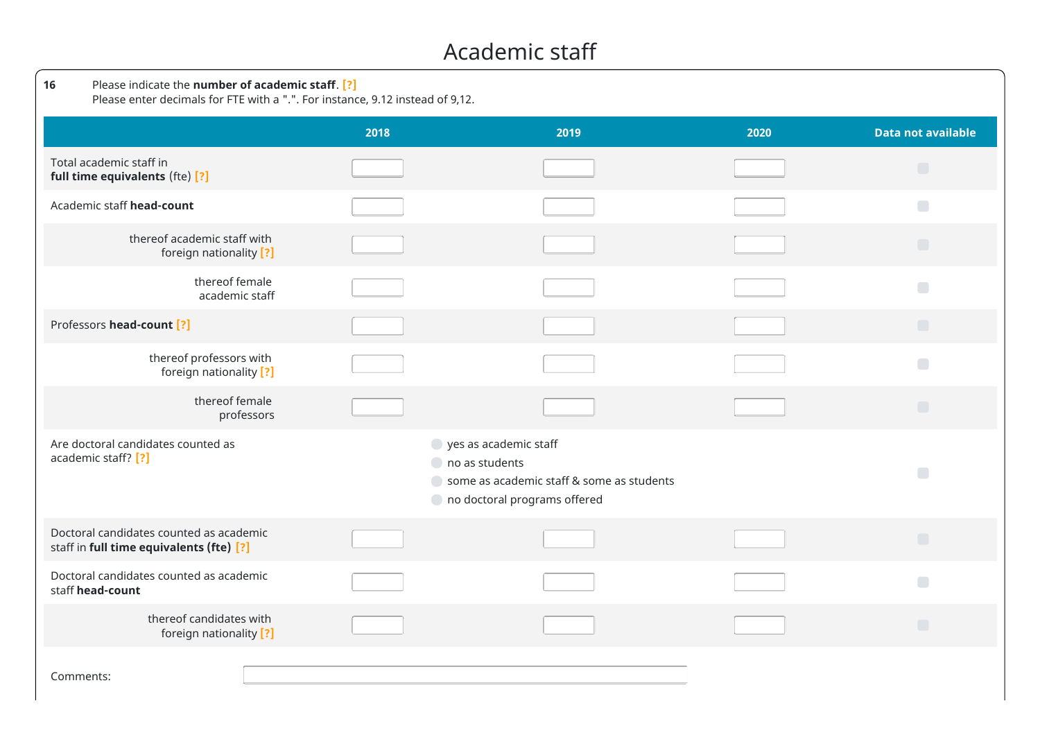#### Academic staff

| Please indicate the number of academic staff. [?]<br>16<br>Please enter decimals for FTE with a ".". For instance, 9.12 instead of 9,12. |                                                                                                                                   |      |      |                                         |  |  |  |  |
|------------------------------------------------------------------------------------------------------------------------------------------|-----------------------------------------------------------------------------------------------------------------------------------|------|------|-----------------------------------------|--|--|--|--|
|                                                                                                                                          | 2018                                                                                                                              | 2019 | 2020 | <b>Data not available</b>               |  |  |  |  |
| Total academic staff in<br>full time equivalents (fte) [?]                                                                               |                                                                                                                                   |      |      | $\Box$                                  |  |  |  |  |
| Academic staff head-count                                                                                                                |                                                                                                                                   |      |      | $\Box$                                  |  |  |  |  |
| thereof academic staff with<br>foreign nationality [?]                                                                                   |                                                                                                                                   |      |      | $\Box$                                  |  |  |  |  |
| thereof female<br>academic staff                                                                                                         |                                                                                                                                   |      |      | $\Box$                                  |  |  |  |  |
| Professors head-count [?]                                                                                                                |                                                                                                                                   |      |      | $\Box$                                  |  |  |  |  |
| thereof professors with<br>foreign nationality [?]                                                                                       |                                                                                                                                   |      |      | $\Box$                                  |  |  |  |  |
| thereof female<br>professors                                                                                                             |                                                                                                                                   |      |      | $\Box$                                  |  |  |  |  |
| Are doctoral candidates counted as<br>academic staff? [?]                                                                                | yes as academic staff<br>$\bigcirc$ no as students<br>Some as academic staff & some as students<br>o no doctoral programs offered |      |      |                                         |  |  |  |  |
| Doctoral candidates counted as academic<br>staff in full time equivalents (fte) [?]                                                      |                                                                                                                                   |      |      | $\begin{array}{ccc} \hline \end{array}$ |  |  |  |  |
| Doctoral candidates counted as academic<br>staff head-count                                                                              |                                                                                                                                   |      |      | $\Box$                                  |  |  |  |  |
| thereof candidates with<br>foreign nationality [?]                                                                                       |                                                                                                                                   |      |      | $\Box$                                  |  |  |  |  |
| Comments:                                                                                                                                |                                                                                                                                   |      |      |                                         |  |  |  |  |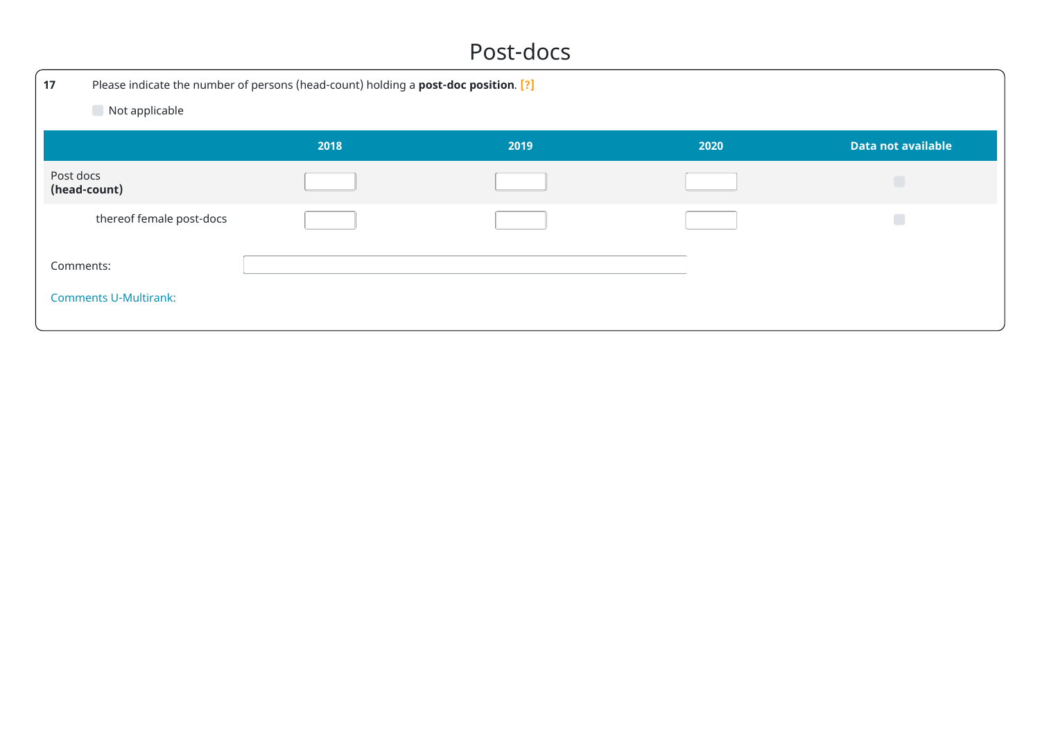#### Post-docs

| 17                           | Please indicate the number of persons (head-count) holding a post-doc position. [?] |      |      |                           |  |  |  |  |
|------------------------------|-------------------------------------------------------------------------------------|------|------|---------------------------|--|--|--|--|
| Not applicable               |                                                                                     |      |      |                           |  |  |  |  |
|                              | 2018                                                                                | 2019 | 2020 | <b>Data not available</b> |  |  |  |  |
| Post docs<br>(head-count)    |                                                                                     |      |      |                           |  |  |  |  |
| thereof female post-docs     |                                                                                     |      |      | $\Box$                    |  |  |  |  |
| Comments:                    |                                                                                     |      |      |                           |  |  |  |  |
| <b>Comments U-Multirank:</b> |                                                                                     |      |      |                           |  |  |  |  |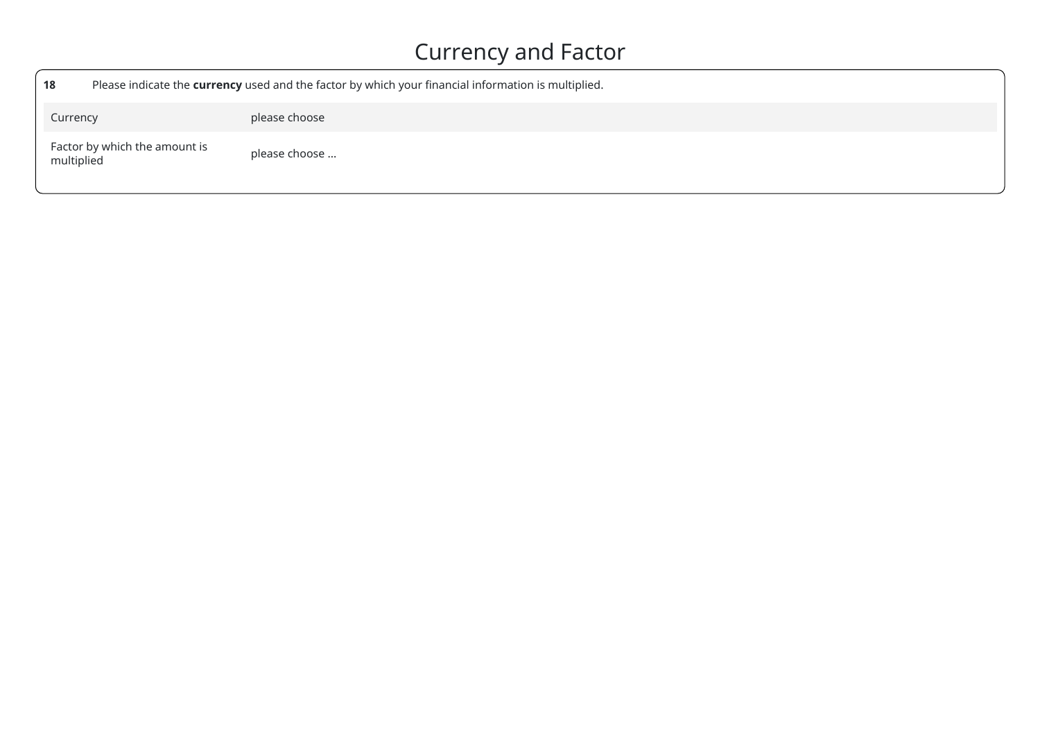### Currency and Factor

| 18                                          | Please indicate the currency used and the factor by which your financial information is multiplied. |
|---------------------------------------------|-----------------------------------------------------------------------------------------------------|
| Currency                                    | please choose                                                                                       |
| Factor by which the amount is<br>multiplied | please choose                                                                                       |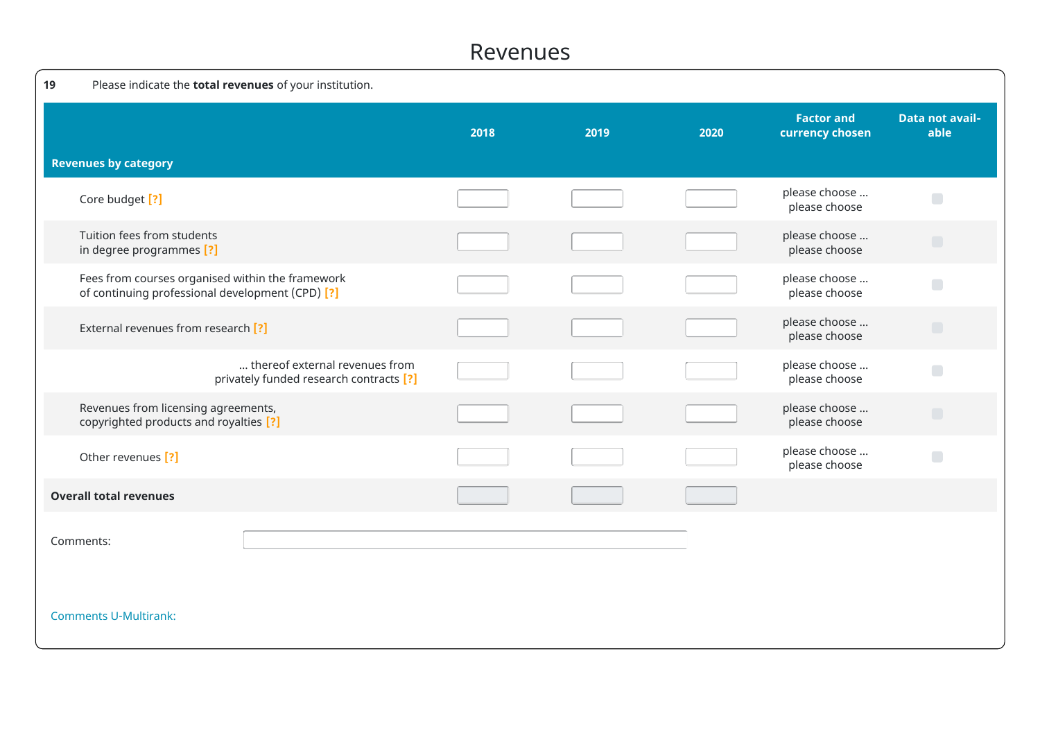#### Revenues

| 19                                                     | Please indicate the total revenues of your institution.                                              |      |      |      |                                      |                                         |
|--------------------------------------------------------|------------------------------------------------------------------------------------------------------|------|------|------|--------------------------------------|-----------------------------------------|
|                                                        |                                                                                                      | 2018 | 2019 | 2020 | <b>Factor and</b><br>currency chosen | <b>Data not avail-</b><br>able          |
| <b>Revenues by category</b>                            |                                                                                                      |      |      |      |                                      |                                         |
| Core budget [?]                                        |                                                                                                      |      |      |      | please choose<br>please choose       | $\Box$                                  |
| Tuition fees from students<br>in degree programmes [?] |                                                                                                      |      |      |      | please choose<br>please choose       |                                         |
|                                                        | Fees from courses organised within the framework<br>of continuing professional development (CPD) [?] |      |      |      | please choose<br>please choose       | $\Box$                                  |
|                                                        | External revenues from research [?]                                                                  |      |      |      | please choose<br>please choose       | $\begin{array}{c} \hline \end{array}$   |
|                                                        | thereof external revenues from<br>privately funded research contracts [?]                            |      |      |      | please choose<br>please choose       | $\begin{array}{ccc} \hline \end{array}$ |
|                                                        | Revenues from licensing agreements,<br>copyrighted products and royalties [?]                        |      |      |      | please choose<br>please choose       |                                         |
| Other revenues [?]                                     |                                                                                                      |      |      |      | please choose<br>please choose       | $\Box$                                  |
| <b>Overall total revenues</b>                          |                                                                                                      |      |      |      |                                      |                                         |
| Comments:                                              |                                                                                                      |      |      |      |                                      |                                         |
| <b>Comments U-Multirank:</b>                           |                                                                                                      |      |      |      |                                      |                                         |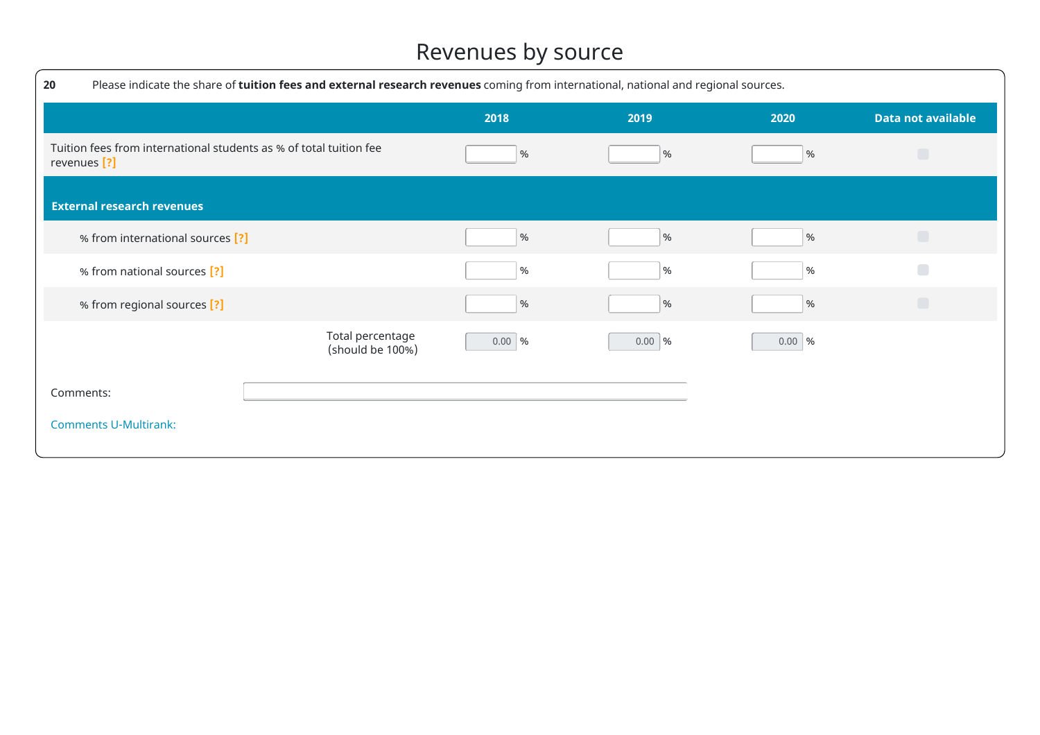### Revenues by source

| 20                                                                                            | Please indicate the share of tuition fees and external research revenues coming from international, national and regional sources. |          |          |                   |                           |  |  |  |
|-----------------------------------------------------------------------------------------------|------------------------------------------------------------------------------------------------------------------------------------|----------|----------|-------------------|---------------------------|--|--|--|
|                                                                                               |                                                                                                                                    | 2018     | 2019     | 2020              | <b>Data not available</b> |  |  |  |
| Tuition fees from international students as % of total tuition fee<br>revenues <sup>[?]</sup> |                                                                                                                                    | $\%$     | $\%$     | %                 | $\Box$                    |  |  |  |
| <b>External research revenues</b>                                                             |                                                                                                                                    |          |          |                   |                           |  |  |  |
| % from international sources [?]                                                              |                                                                                                                                    | $\%$     | $\%$     | %                 | $\Box$                    |  |  |  |
| % from national sources [?]                                                                   |                                                                                                                                    | $\%$     | %        | %                 | $\Box$                    |  |  |  |
| % from regional sources [?]                                                                   |                                                                                                                                    | $\%$     | $\%$     | %                 | $\Box$                    |  |  |  |
|                                                                                               | Total percentage<br>(should be 100%)                                                                                               | $0.00$ % | 0.00   % | $0.00 \,   \, \%$ |                           |  |  |  |
| Comments:                                                                                     |                                                                                                                                    |          |          |                   |                           |  |  |  |
| <b>Comments U-Multirank:</b>                                                                  |                                                                                                                                    |          |          |                   |                           |  |  |  |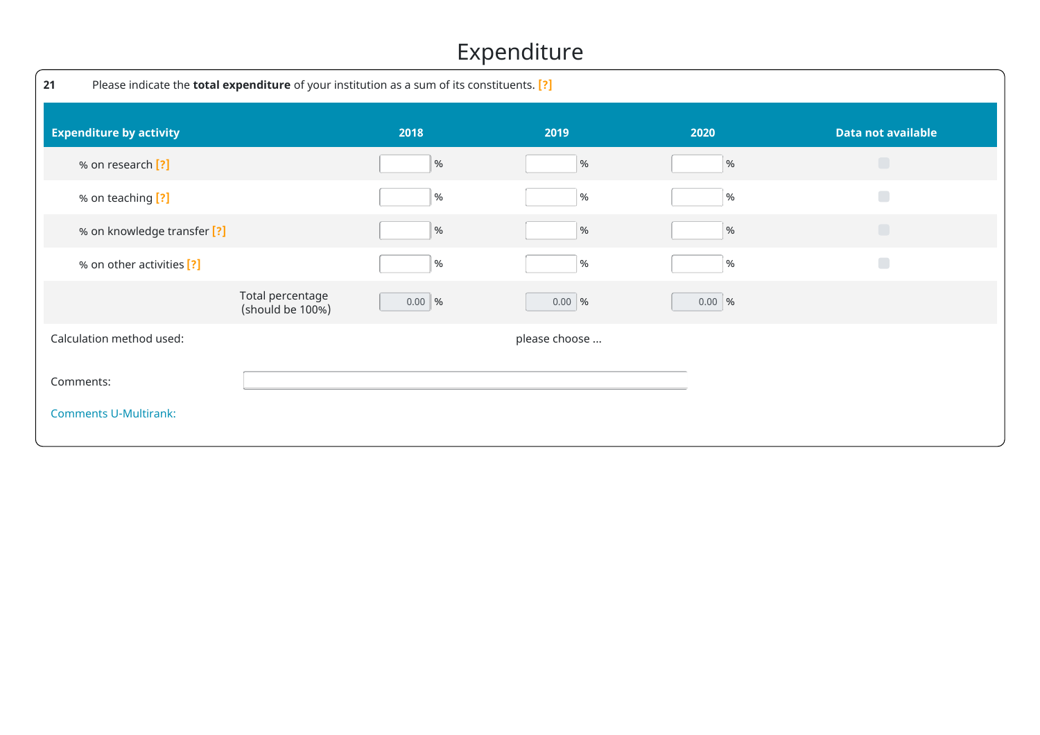### Expenditure

| 21        | Please indicate the <b>total expenditure</b> of your institution as a sum of its constituents. [?] |                                      |          |               |                   |                           |  |  |
|-----------|----------------------------------------------------------------------------------------------------|--------------------------------------|----------|---------------|-------------------|---------------------------|--|--|
|           | <b>Expenditure by activity</b>                                                                     |                                      | 2018     | 2019          | 2020              | <b>Data not available</b> |  |  |
|           | % on research [?]                                                                                  |                                      | %        | $\%$          | $\%$              | $\Box$                    |  |  |
|           | % on teaching [?]                                                                                  |                                      | $\%$     | %             | %                 | $\Box$                    |  |  |
|           | % on knowledge transfer [?]                                                                        |                                      | $\%$     | $\%$          | %                 | $\Box$                    |  |  |
|           | % on other activities [?]                                                                          |                                      | %        | %             | %                 | $\Box$                    |  |  |
|           |                                                                                                    | Total percentage<br>(should be 100%) | 0.00   % | $0.00$ %      | $0.00 \,   \, \%$ |                           |  |  |
|           | Calculation method used:                                                                           |                                      |          | please choose |                   |                           |  |  |
| Comments: |                                                                                                    |                                      |          |               |                   |                           |  |  |
|           | <b>Comments U-Multirank:</b>                                                                       |                                      |          |               |                   |                           |  |  |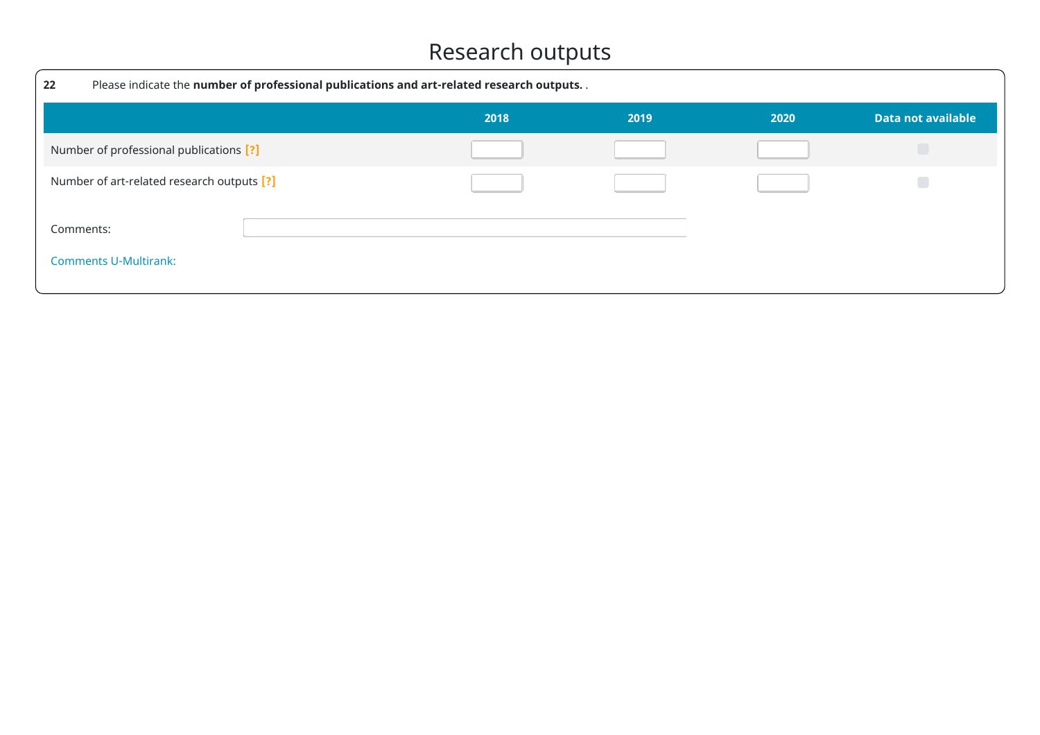### Research outputs

| 22                                         | Please indicate the number of professional publications and art-related research outputs |      |      |      |                    |  |  |  |
|--------------------------------------------|------------------------------------------------------------------------------------------|------|------|------|--------------------|--|--|--|
|                                            |                                                                                          | 2018 | 2019 | 2020 | Data not available |  |  |  |
| Number of professional publications [?]    |                                                                                          |      |      |      | $\Box$             |  |  |  |
| Number of art-related research outputs [?] |                                                                                          |      |      |      |                    |  |  |  |
| Comments:<br><b>Comments U-Multirank:</b>  |                                                                                          |      |      |      |                    |  |  |  |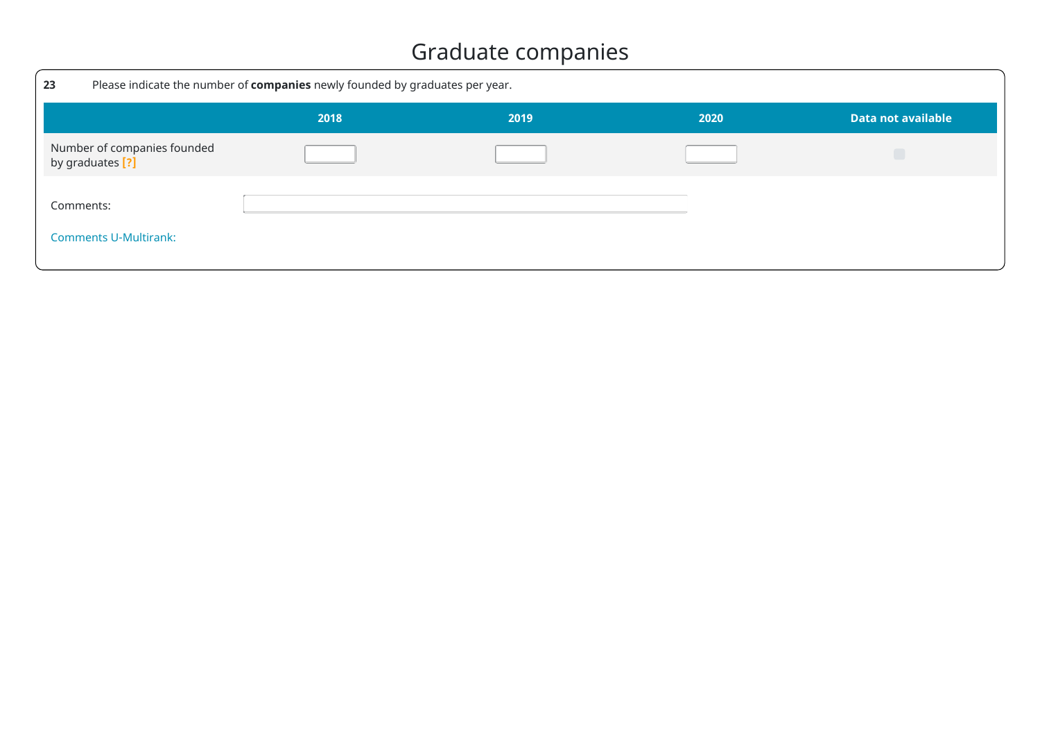### Graduate companies

| 23                                              | Please indicate the number of companies newly founded by graduates per year. |      |      |                    |  |  |  |  |
|-------------------------------------------------|------------------------------------------------------------------------------|------|------|--------------------|--|--|--|--|
|                                                 | 2018                                                                         | 2019 | 2020 | Data not available |  |  |  |  |
| Number of companies founded<br>by graduates [?] |                                                                              |      |      |                    |  |  |  |  |
| Comments:                                       |                                                                              |      |      |                    |  |  |  |  |
| <b>Comments U-Multirank:</b>                    |                                                                              |      |      |                    |  |  |  |  |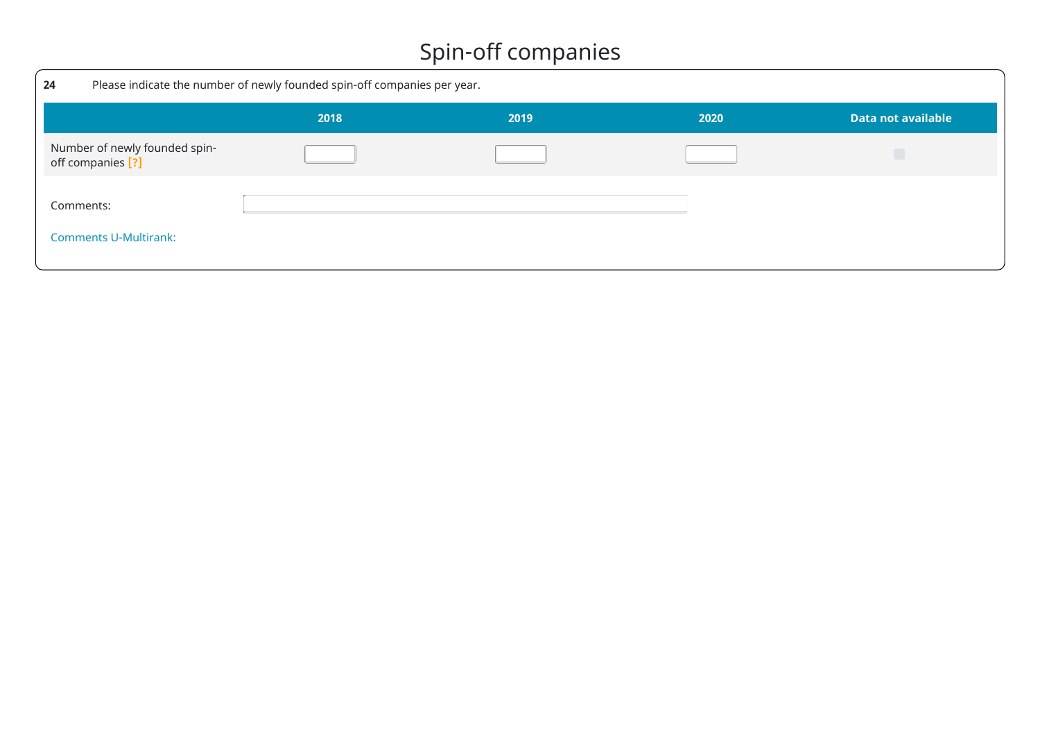### Spin-off companies

| 24                                                 | Please indicate the number of newly founded spin-off companies per year. |      |      |                           |  |  |
|----------------------------------------------------|--------------------------------------------------------------------------|------|------|---------------------------|--|--|
|                                                    | 2018                                                                     | 2019 | 2020 | <b>Data not available</b> |  |  |
| Number of newly founded spin-<br>off companies [?] |                                                                          |      |      |                           |  |  |
| Comments:<br><b>Comments U-Multirank:</b>          |                                                                          |      |      |                           |  |  |
|                                                    |                                                                          |      |      |                           |  |  |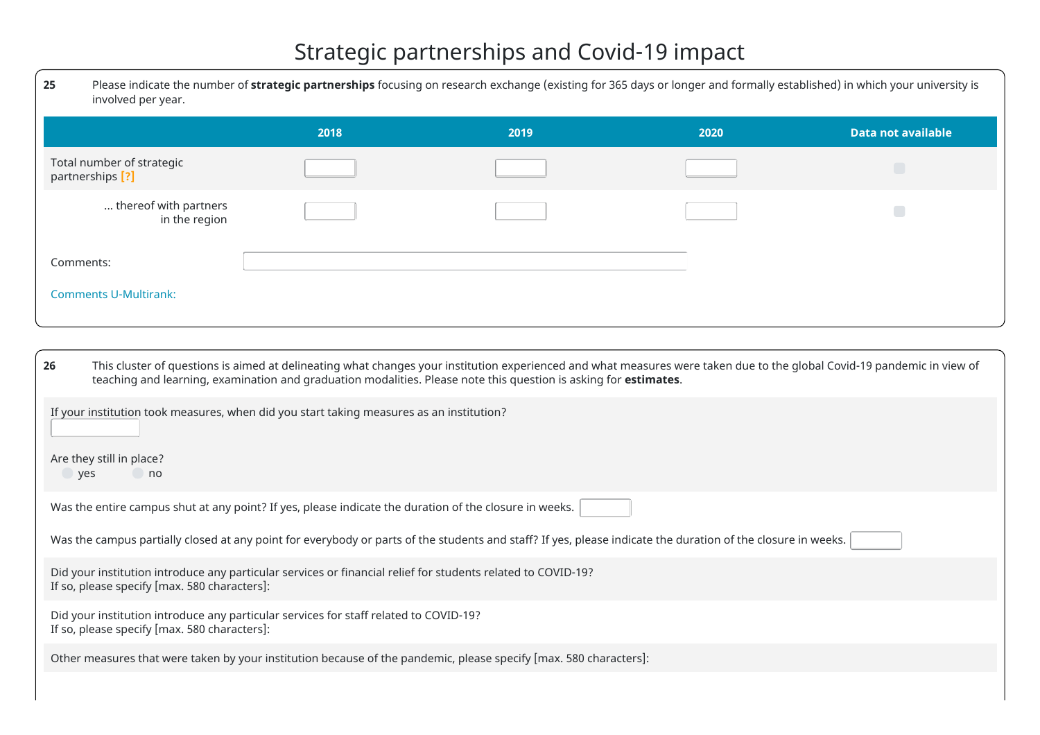### Strategic partnerships and Covid-19 impact

| 25<br>involved per year.                      | Please indicate the number of strategic partnerships focusing on research exchange (existing for 365 days or longer and formally established) in which your university is |      |      |                           |  |  |
|-----------------------------------------------|---------------------------------------------------------------------------------------------------------------------------------------------------------------------------|------|------|---------------------------|--|--|
|                                               | 2018                                                                                                                                                                      | 2019 | 2020 | <b>Data not available</b> |  |  |
| Total number of strategic<br>partnerships [?] |                                                                                                                                                                           |      |      | Г                         |  |  |
| thereof with partners<br>in the region        |                                                                                                                                                                           |      |      |                           |  |  |
| Comments:                                     |                                                                                                                                                                           |      |      |                           |  |  |
| <b>Comments U-Multirank:</b>                  |                                                                                                                                                                           |      |      |                           |  |  |

| This cluster of questions is aimed at delineating what changes your institution experienced and what measures were taken due to the global Covid-19 pandemic in view of<br>26<br>teaching and learning, examination and graduation modalities. Please note this question is asking for estimates. |
|---------------------------------------------------------------------------------------------------------------------------------------------------------------------------------------------------------------------------------------------------------------------------------------------------|
| If your institution took measures, when did you start taking measures as an institution?                                                                                                                                                                                                          |
| Are they still in place?<br>no<br>yes                                                                                                                                                                                                                                                             |
| Was the entire campus shut at any point? If yes, please indicate the duration of the closure in weeks.                                                                                                                                                                                            |
| Was the campus partially closed at any point for everybody or parts of the students and staff? If yes, please indicate the duration of the closure in weeks.                                                                                                                                      |
| Did your institution introduce any particular services or financial relief for students related to COVID-19?<br>If so, please specify [max. 580 characters]:                                                                                                                                      |
| Did your institution introduce any particular services for staff related to COVID-19?<br>If so, please specify [max. 580 characters]:                                                                                                                                                             |
| Other measures that were taken by your institution because of the pandemic, please specify [max. 580 characters]:                                                                                                                                                                                 |
|                                                                                                                                                                                                                                                                                                   |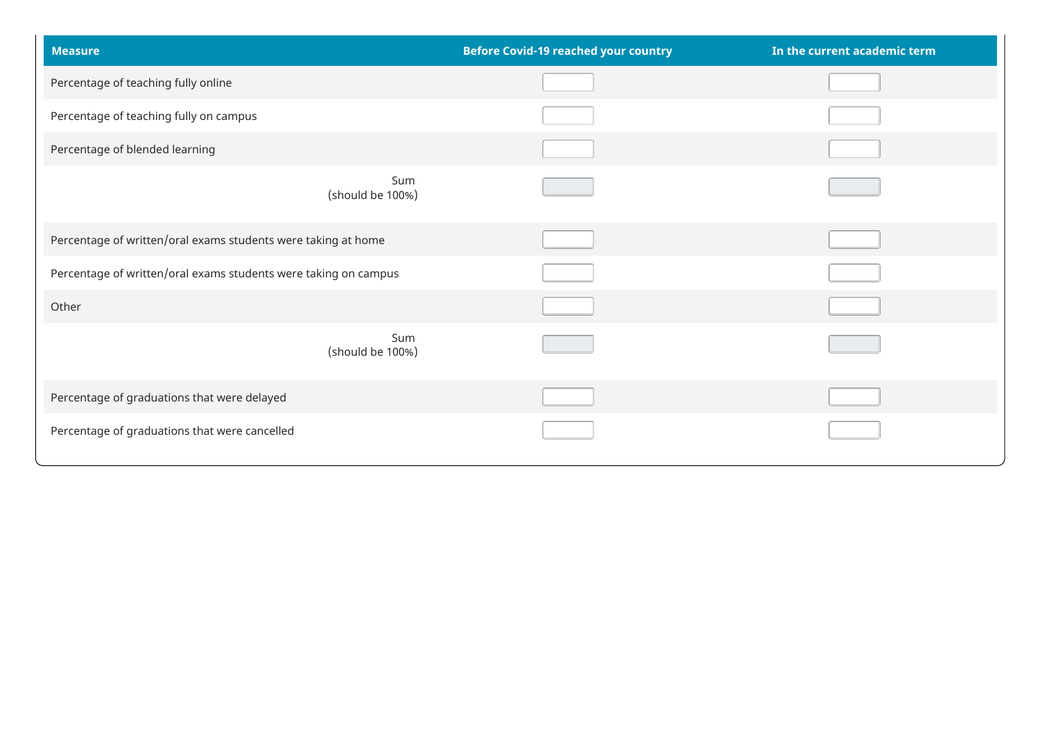| <b>Measure</b>                                                  | <b>Before Covid-19 reached your country</b> | In the current academic term |  |
|-----------------------------------------------------------------|---------------------------------------------|------------------------------|--|
| Percentage of teaching fully online                             |                                             |                              |  |
| Percentage of teaching fully on campus                          |                                             |                              |  |
| Percentage of blended learning                                  |                                             |                              |  |
| Sum<br>(should be 100%)                                         |                                             |                              |  |
| Percentage of written/oral exams students were taking at home   |                                             |                              |  |
| Percentage of written/oral exams students were taking on campus |                                             |                              |  |
| Other                                                           |                                             |                              |  |
| Sum<br>(should be 100%)                                         |                                             |                              |  |
| Percentage of graduations that were delayed                     |                                             |                              |  |
| Percentage of graduations that were cancelled                   |                                             |                              |  |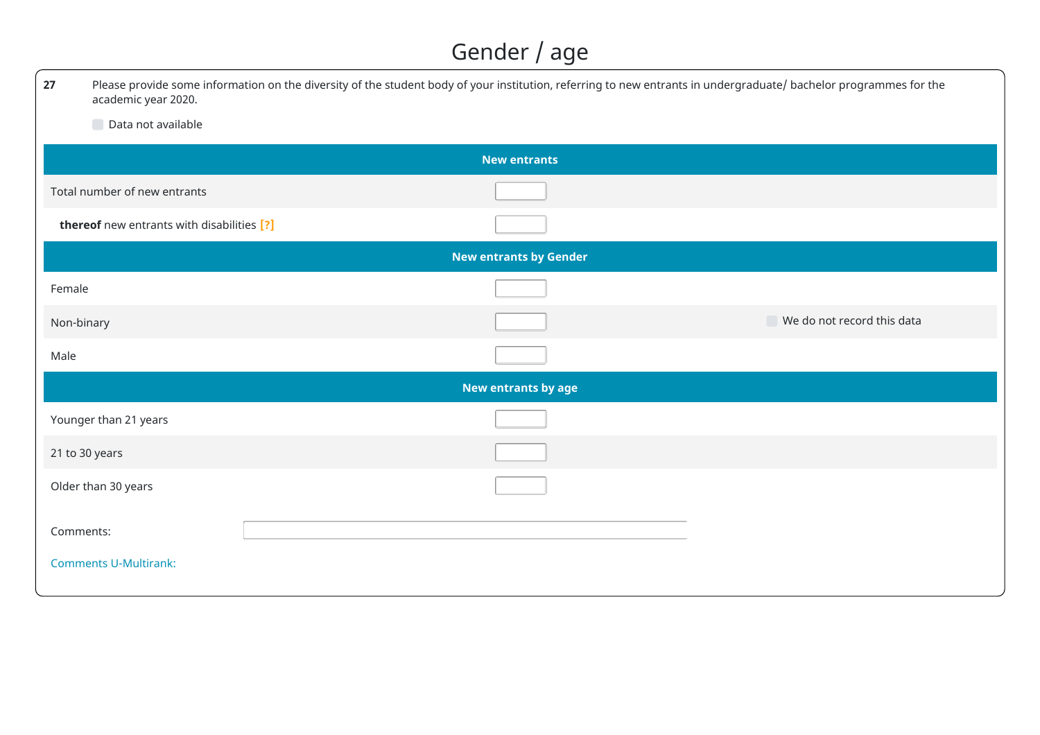### Gender / age

| 27         | academic year 2020.                        | Please provide some information on the diversity of the student body of your institution, referring to new entrants in undergraduate/ bachelor programmes for the |  |  |  |  |
|------------|--------------------------------------------|-------------------------------------------------------------------------------------------------------------------------------------------------------------------|--|--|--|--|
|            | Data not available                         |                                                                                                                                                                   |  |  |  |  |
|            |                                            | <b>New entrants</b>                                                                                                                                               |  |  |  |  |
|            | Total number of new entrants               |                                                                                                                                                                   |  |  |  |  |
|            | thereof new entrants with disabilities [?] |                                                                                                                                                                   |  |  |  |  |
|            |                                            | <b>New entrants by Gender</b>                                                                                                                                     |  |  |  |  |
| Female     |                                            |                                                                                                                                                                   |  |  |  |  |
| Non-binary |                                            | $\blacksquare$ We do not record this data                                                                                                                         |  |  |  |  |
| Male       |                                            |                                                                                                                                                                   |  |  |  |  |
|            |                                            | New entrants by age                                                                                                                                               |  |  |  |  |
|            | Younger than 21 years                      |                                                                                                                                                                   |  |  |  |  |
|            | 21 to 30 years                             |                                                                                                                                                                   |  |  |  |  |
|            | Older than 30 years                        |                                                                                                                                                                   |  |  |  |  |
| Comments:  |                                            |                                                                                                                                                                   |  |  |  |  |
|            | <b>Comments U-Multirank:</b>               |                                                                                                                                                                   |  |  |  |  |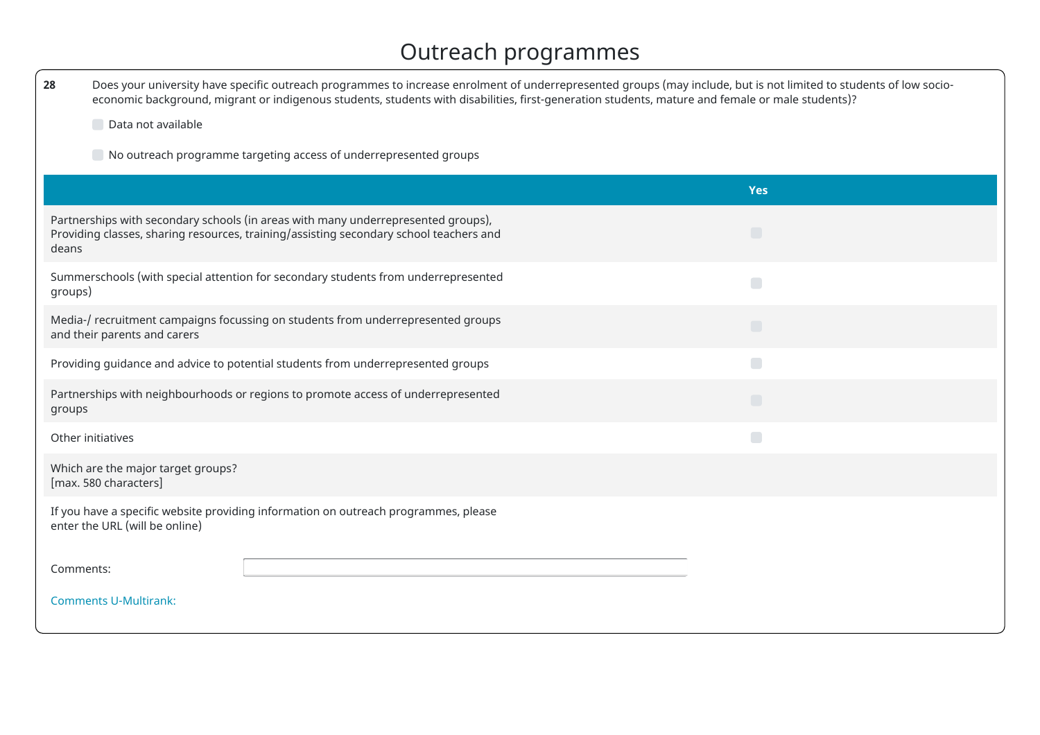### Outreach programmes

| Does your university have specific outreach programmes to increase enrolment of underrepresented groups (may include, but is not limited to students of low socio-<br>28<br>economic background, migrant or indigenous students, students with disabilities, first-generation students, mature and female or male students)? |                                                                                                                                                                                       |            |  |  |  |  |
|------------------------------------------------------------------------------------------------------------------------------------------------------------------------------------------------------------------------------------------------------------------------------------------------------------------------------|---------------------------------------------------------------------------------------------------------------------------------------------------------------------------------------|------------|--|--|--|--|
|                                                                                                                                                                                                                                                                                                                              | Data not available                                                                                                                                                                    |            |  |  |  |  |
|                                                                                                                                                                                                                                                                                                                              | $\Box$ No outreach programme targeting access of underrepresented groups                                                                                                              |            |  |  |  |  |
|                                                                                                                                                                                                                                                                                                                              |                                                                                                                                                                                       | <b>Yes</b> |  |  |  |  |
| deans                                                                                                                                                                                                                                                                                                                        | Partnerships with secondary schools (in areas with many underrepresented groups),<br>$\Box$<br>Providing classes, sharing resources, training/assisting secondary school teachers and |            |  |  |  |  |
| groups)                                                                                                                                                                                                                                                                                                                      | Summerschools (with special attention for secondary students from underrepresented                                                                                                    | $\Box$     |  |  |  |  |
|                                                                                                                                                                                                                                                                                                                              | Media-/ recruitment campaigns focussing on students from underrepresented groups<br>$\Box$<br>and their parents and carers                                                            |            |  |  |  |  |
|                                                                                                                                                                                                                                                                                                                              | Providing guidance and advice to potential students from underrepresented groups                                                                                                      | $\Box$     |  |  |  |  |
| Partnerships with neighbourhoods or regions to promote access of underrepresented<br>$\Box$<br>groups                                                                                                                                                                                                                        |                                                                                                                                                                                       |            |  |  |  |  |
|                                                                                                                                                                                                                                                                                                                              | $\Box$<br>Other initiatives                                                                                                                                                           |            |  |  |  |  |
|                                                                                                                                                                                                                                                                                                                              | Which are the major target groups?<br>[max. 580 characters]                                                                                                                           |            |  |  |  |  |
|                                                                                                                                                                                                                                                                                                                              | If you have a specific website providing information on outreach programmes, please<br>enter the URL (will be online)                                                                 |            |  |  |  |  |
| Comments:                                                                                                                                                                                                                                                                                                                    |                                                                                                                                                                                       |            |  |  |  |  |
|                                                                                                                                                                                                                                                                                                                              | <b>Comments U-Multirank:</b>                                                                                                                                                          |            |  |  |  |  |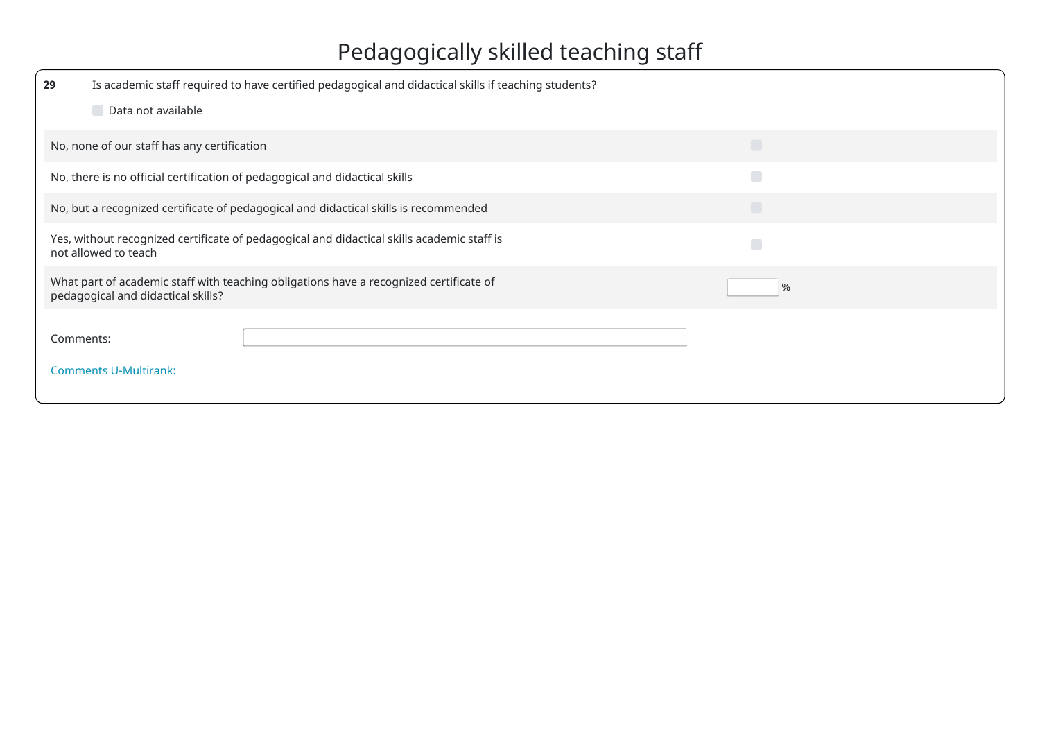# Pedagogically skilled teaching staff

| 29                                                                                                                                | Is academic staff required to have certified pedagogical and didactical skills if teaching students?                         |        |  |  |  |  |
|-----------------------------------------------------------------------------------------------------------------------------------|------------------------------------------------------------------------------------------------------------------------------|--------|--|--|--|--|
|                                                                                                                                   | Data not available                                                                                                           |        |  |  |  |  |
|                                                                                                                                   | No, none of our staff has any certification                                                                                  | $\Box$ |  |  |  |  |
|                                                                                                                                   | No, there is no official certification of pedagogical and didactical skills                                                  | $\Box$ |  |  |  |  |
|                                                                                                                                   | No, but a recognized certificate of pedagogical and didactical skills is recommended                                         |        |  |  |  |  |
|                                                                                                                                   | Yes, without recognized certificate of pedagogical and didactical skills academic staff is<br>$\Box$<br>not allowed to teach |        |  |  |  |  |
| What part of academic staff with teaching obligations have a recognized certificate of<br>%<br>pedagogical and didactical skills? |                                                                                                                              |        |  |  |  |  |
| Comments:                                                                                                                         |                                                                                                                              |        |  |  |  |  |
|                                                                                                                                   | <b>Comments U-Multirank:</b>                                                                                                 |        |  |  |  |  |
|                                                                                                                                   |                                                                                                                              |        |  |  |  |  |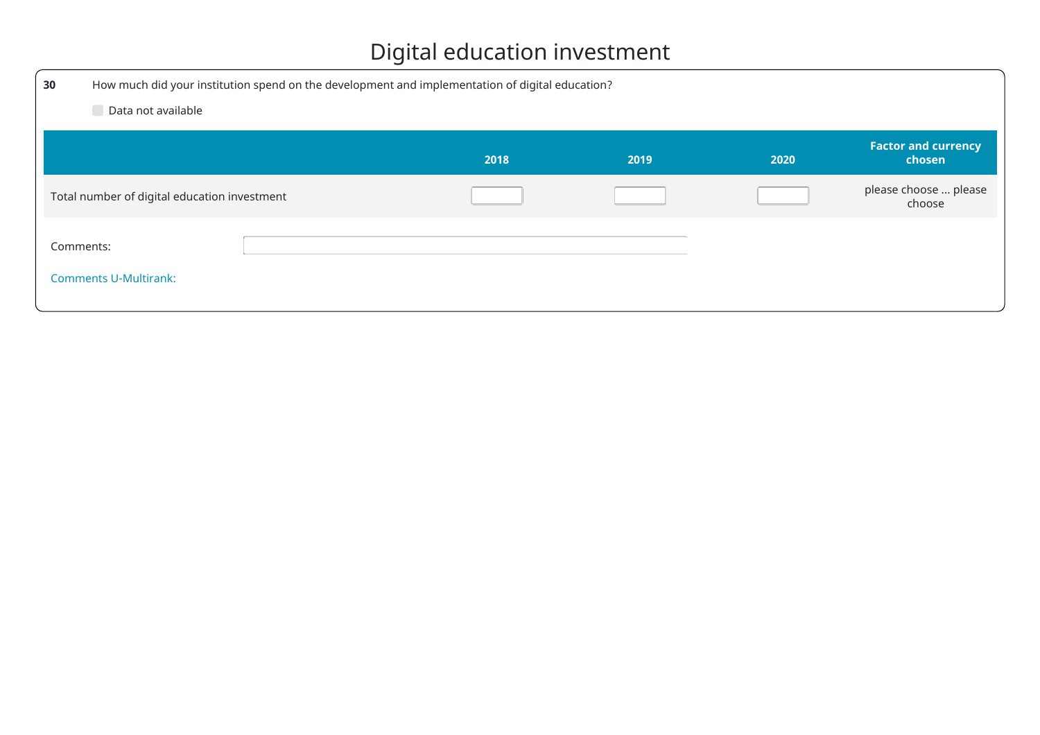## Digital education investment

| 30                                           | How much did your institution spend on the development and implementation of digital education? |      |      |      |                                      |
|----------------------------------------------|-------------------------------------------------------------------------------------------------|------|------|------|--------------------------------------|
| Data not available                           |                                                                                                 |      |      |      |                                      |
|                                              |                                                                                                 | 2018 | 2019 | 2020 | <b>Factor and currency</b><br>chosen |
| Total number of digital education investment |                                                                                                 |      |      |      | please choose  please<br>choose      |
| Comments:<br><b>Comments U-Multirank:</b>    |                                                                                                 |      |      |      |                                      |
|                                              |                                                                                                 |      |      |      |                                      |